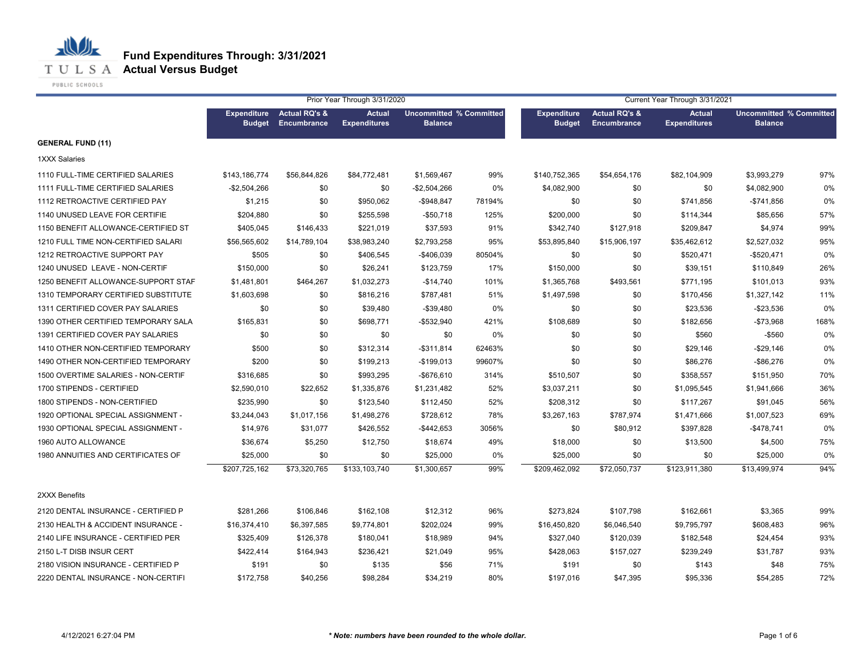

PUBLIC SCHOOLS

|                                     |                                     |                                                | Prior Year Through 3/31/2020         |                                                  |        | Current Year Through 3/31/2021      |                                         |                                      |                                                  |       |  |
|-------------------------------------|-------------------------------------|------------------------------------------------|--------------------------------------|--------------------------------------------------|--------|-------------------------------------|-----------------------------------------|--------------------------------------|--------------------------------------------------|-------|--|
|                                     | <b>Expenditure</b><br><b>Budget</b> | <b>Actual RQ's &amp;</b><br><b>Encumbrance</b> | <b>Actual</b><br><b>Expenditures</b> | <b>Uncommitted % Committed</b><br><b>Balance</b> |        | <b>Expenditure</b><br><b>Budget</b> | <b>Actual RQ's &amp;</b><br>Encumbrance | <b>Actual</b><br><b>Expenditures</b> | <b>Uncommitted % Committed</b><br><b>Balance</b> |       |  |
| <b>GENERAL FUND (11)</b>            |                                     |                                                |                                      |                                                  |        |                                     |                                         |                                      |                                                  |       |  |
| 1XXX Salaries                       |                                     |                                                |                                      |                                                  |        |                                     |                                         |                                      |                                                  |       |  |
| 1110 FULL-TIME CERTIFIED SALARIES   | \$143,186,774                       | \$56,844,826                                   | \$84,772,481                         | \$1,569,467                                      | 99%    | \$140,752,365                       | \$54,654,176                            | \$82,104,909                         | \$3,993,279                                      | 97%   |  |
| 1111 FULL-TIME CERTIFIED SALARIES   | $-$2,504,266$                       | \$0                                            | \$0                                  | $-$2,504,266$                                    | 0%     | \$4,082,900                         | \$0                                     | \$0                                  | \$4,082,900                                      | $0\%$ |  |
| 1112 RETROACTIVE CERTIFIED PAY      | \$1,215                             | \$0                                            | \$950,062                            | $-$948,847$                                      | 78194% | \$0                                 | \$0                                     | \$741,856                            | $-$741,856$                                      | 0%    |  |
| 1140 UNUSED LEAVE FOR CERTIFIE      | \$204,880                           | \$0                                            | \$255,598                            | $-$50,718$                                       | 125%   | \$200,000                           | \$0                                     | \$114,344                            | \$85,656                                         | 57%   |  |
| 1150 BENEFIT ALLOWANCE-CERTIFIED ST | \$405,045                           | \$146,433                                      | \$221,019                            | \$37,593                                         | 91%    | \$342,740                           | \$127,918                               | \$209,847                            | \$4,974                                          | 99%   |  |
| 1210 FULL TIME NON-CERTIFIED SALARI | \$56,565,602                        | \$14,789,104                                   | \$38,983,240                         | \$2,793,258                                      | 95%    | \$53,895,840                        | \$15,906,197                            | \$35,462,612                         | \$2,527,032                                      | 95%   |  |
| 1212 RETROACTIVE SUPPORT PAY        | \$505                               | \$0                                            | \$406,545                            | $-$406,039$                                      | 80504% | \$0                                 | \$0                                     | \$520,471                            | $-$520,471$                                      | 0%    |  |
| 1240 UNUSED LEAVE - NON-CERTIF      | \$150,000                           | \$0                                            | \$26,241                             | \$123,759                                        | 17%    | \$150,000                           | \$0                                     | \$39,151                             | \$110,849                                        | 26%   |  |
| 1250 BENEFIT ALLOWANCE-SUPPORT STAF | \$1,481,801                         | \$464,267                                      | \$1,032,273                          | $-$14,740$                                       | 101%   | \$1,365,768                         | \$493,561                               | \$771,195                            | \$101,013                                        | 93%   |  |
| 1310 TEMPORARY CERTIFIED SUBSTITUTE | \$1,603,698                         | \$0                                            | \$816,216                            | \$787,481                                        | 51%    | \$1,497,598                         | \$0                                     | \$170,456                            | \$1,327,142                                      | 11%   |  |
| 1311 CERTIFIED COVER PAY SALARIES   | \$0                                 | \$0                                            | \$39,480                             | $-$ \$39,480                                     | 0%     | \$0                                 | \$0                                     | \$23,536                             | $-$23,536$                                       | $0\%$ |  |
| 1390 OTHER CERTIFIED TEMPORARY SALA | \$165,831                           | \$0                                            | \$698,771                            | $-$532,940$                                      | 421%   | \$108,689                           | \$0                                     | \$182,656                            | -\$73,968                                        | 168%  |  |
| 1391 CERTIFIED COVER PAY SALARIES   | \$0                                 | \$0                                            | \$0                                  | \$0                                              | 0%     | \$0                                 | \$0                                     | \$560                                | $-$ \$560                                        | 0%    |  |
| 1410 OTHER NON-CERTIFIED TEMPORARY  | \$500                               | \$0                                            | \$312,314                            | $-$ \$311,814                                    | 62463% | \$0                                 | \$0                                     | \$29,146                             | $-$29,146$                                       | 0%    |  |
| 1490 OTHER NON-CERTIFIED TEMPORARY  | \$200                               | \$0                                            | \$199,213                            | $-$199,013$                                      | 99607% | \$0                                 | \$0                                     | \$86,276                             | -\$86,276                                        | 0%    |  |
| 1500 OVERTIME SALARIES - NON-CERTIF | \$316,685                           | \$0                                            | \$993,295                            | $-$676,610$                                      | 314%   | \$510,507                           | \$0                                     | \$358,557                            | \$151,950                                        | 70%   |  |
| 1700 STIPENDS - CERTIFIED           | \$2,590,010                         | \$22,652                                       | \$1,335,876                          | \$1,231,482                                      | 52%    | \$3,037,211                         | \$0                                     | \$1,095,545                          | \$1,941,666                                      | 36%   |  |
| 1800 STIPENDS - NON-CERTIFIED       | \$235,990                           | \$0                                            | \$123,540                            | \$112,450                                        | 52%    | \$208,312                           | \$0                                     | \$117,267                            | \$91,045                                         | 56%   |  |
| 1920 OPTIONAL SPECIAL ASSIGNMENT -  | \$3,244,043                         | \$1,017,156                                    | \$1,498,276                          | \$728,612                                        | 78%    | \$3,267,163                         | \$787,974                               | \$1,471,666                          | \$1,007,523                                      | 69%   |  |
| 1930 OPTIONAL SPECIAL ASSIGNMENT -  | \$14,976                            | \$31,077                                       | \$426,552                            | $-$ \$442,653                                    | 3056%  | \$0                                 | \$80,912                                | \$397,828                            | $-$478,741$                                      | 0%    |  |
| 1960 AUTO ALLOWANCE                 | \$36,674                            | \$5,250                                        | \$12,750                             | \$18,674                                         | 49%    | \$18,000                            | \$0                                     | \$13,500                             | \$4,500                                          | 75%   |  |
| 1980 ANNUITIES AND CERTIFICATES OF  | \$25,000                            | \$0                                            | \$0                                  | \$25,000                                         | 0%     | \$25,000                            | \$0                                     | \$0                                  | \$25,000                                         | $0\%$ |  |
|                                     | \$207,725,162                       | \$73,320,765                                   | \$133,103,740                        | \$1,300,657                                      | 99%    | \$209,462,092                       | \$72,050,737                            | \$123,911,380                        | \$13,499,974                                     | 94%   |  |
| 2XXX Benefits                       |                                     |                                                |                                      |                                                  |        |                                     |                                         |                                      |                                                  |       |  |
| 2120 DENTAL INSURANCE - CERTIFIED P | \$281,266                           | \$106,846                                      | \$162,108                            | \$12,312                                         | 96%    | \$273,824                           | \$107,798                               | \$162,661                            | \$3,365                                          | 99%   |  |
| 2130 HEALTH & ACCIDENT INSURANCE -  | \$16,374,410                        | \$6,397,585                                    | \$9,774,801                          | \$202,024                                        | 99%    | \$16,450,820                        | \$6,046,540                             | \$9,795,797                          | \$608,483                                        | 96%   |  |
| 2140 LIFE INSURANCE - CERTIFIED PER | \$325,409                           | \$126,378                                      | \$180,041                            | \$18,989                                         | 94%    | \$327,040                           | \$120,039                               | \$182,548                            | \$24,454                                         | 93%   |  |
| 2150 L-T DISB INSUR CERT            | \$422,414                           | \$164,943                                      | \$236,421                            | \$21,049                                         | 95%    | \$428,063                           | \$157,027                               | \$239,249                            | \$31,787                                         | 93%   |  |
| 2180 VISION INSURANCE - CERTIFIED P | \$191                               | \$0                                            | \$135                                | \$56                                             | 71%    | \$191                               | \$0                                     | \$143                                | \$48                                             | 75%   |  |
| 2220 DENTAL INSURANCE - NON-CERTIFI | \$172,758                           | \$40,256                                       | \$98,284                             | \$34,219                                         | 80%    | \$197,016                           | \$47,395                                | \$95,336                             | \$54,285                                         | 72%   |  |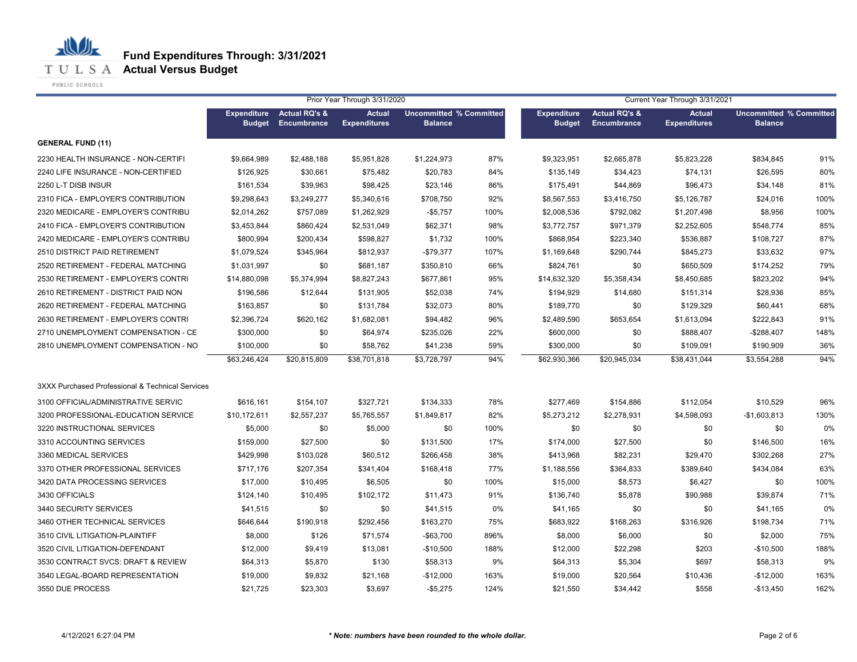**Fund Expenditures Through: 3/31/2021**

**T U L S A Actual Versus Budget** 

PUBLIC SCHOOLS

|                                                  | Prior Year Through 3/31/2020<br>Current Year Through 3/31/2021<br><b>Uncommitted % Committed</b> |                                         |                                      |                |      |                                     |                                                |                                      |                                                  |      |
|--------------------------------------------------|--------------------------------------------------------------------------------------------------|-----------------------------------------|--------------------------------------|----------------|------|-------------------------------------|------------------------------------------------|--------------------------------------|--------------------------------------------------|------|
|                                                  | <b>Expenditure</b><br><b>Budget</b>                                                              | <b>Actual RQ's &amp;</b><br>Encumbrance | <b>Actual</b><br><b>Expenditures</b> | <b>Balance</b> |      | <b>Expenditure</b><br><b>Budget</b> | <b>Actual RQ's &amp;</b><br><b>Encumbrance</b> | <b>Actual</b><br><b>Expenditures</b> | <b>Uncommitted % Committed</b><br><b>Balance</b> |      |
| <b>GENERAL FUND (11)</b>                         |                                                                                                  |                                         |                                      |                |      |                                     |                                                |                                      |                                                  |      |
| 2230 HEALTH INSURANCE - NON-CERTIFI              | \$9,664,989                                                                                      | \$2,488,188                             | \$5,951,828                          | \$1,224,973    | 87%  | \$9,323,951                         | \$2,665,878                                    | \$5,823,228                          | \$834,845                                        | 91%  |
| 2240 LIFE INSURANCE - NON-CERTIFIED              | \$126,925                                                                                        | \$30,661                                | \$75,482                             | \$20,783       | 84%  | \$135,149                           | \$34,423                                       | \$74,131                             | \$26,595                                         | 80%  |
| 2250 L-T DISB INSUR                              | \$161,534                                                                                        | \$39,963                                | \$98,425                             | \$23,146       | 86%  | \$175,491                           | \$44,869                                       | \$96,473                             | \$34,148                                         | 81%  |
| 2310 FICA - EMPLOYER'S CONTRIBUTION              | \$9,298,643                                                                                      | \$3,249,277                             | \$5,340,616                          | \$708,750      | 92%  | \$8,567,553                         | \$3,416,750                                    | \$5,126,787                          | \$24,016                                         | 100% |
| 2320 MEDICARE - EMPLOYER'S CONTRIBU              | \$2,014,262                                                                                      | \$757,089                               | \$1,262,929                          | $-$5,757$      | 100% | \$2,008,536                         | \$792,082                                      | \$1,207,498                          | \$8,956                                          | 100% |
| 2410 FICA - EMPLOYER'S CONTRIBUTION              | \$3,453,844                                                                                      | \$860,424                               | \$2,531,049                          | \$62,371       | 98%  | \$3,772,757                         | \$971,379                                      | \$2,252,605                          | \$548,774                                        | 85%  |
| 2420 MEDICARE - EMPLOYER'S CONTRIBU              | \$800,994                                                                                        | \$200,434                               | \$598,827                            | \$1,732        | 100% | \$868,954                           | \$223,340                                      | \$536,887                            | \$108,727                                        | 87%  |
| 2510 DISTRICT PAID RETIREMENT                    | \$1,079,524                                                                                      | \$345,964                               | \$812,937                            | $-$79,377$     | 107% | \$1,169,648                         | \$290,744                                      | \$845,273                            | \$33,632                                         | 97%  |
| 2520 RETIREMENT - FEDERAL MATCHING               | \$1,031,997                                                                                      | \$0                                     | \$681,187                            | \$350,810      | 66%  | \$824,761                           | \$0                                            | \$650,509                            | \$174,252                                        | 79%  |
| 2530 RETIREMENT - EMPLOYER'S CONTRI              | \$14,880,098                                                                                     | \$5,374,994                             | \$8,827,243                          | \$677,861      | 95%  | \$14,632,320                        | \$5,358,434                                    | \$8,450,685                          | \$823,202                                        | 94%  |
| 2610 RETIREMENT - DISTRICT PAID NON              | \$196,586                                                                                        | \$12,644                                | \$131,905                            | \$52,038       | 74%  | \$194,929                           | \$14,680                                       | \$151,314                            | \$28,936                                         | 85%  |
| 2620 RETIREMENT - FEDERAL MATCHING               | \$163,857                                                                                        | \$0                                     | \$131,784                            | \$32,073       | 80%  | \$189,770                           | \$0                                            | \$129,329                            | \$60,441                                         | 68%  |
| 2630 RETIREMENT - EMPLOYER'S CONTRI              | \$2,396,724                                                                                      | \$620,162                               | \$1,682,081                          | \$94,482       | 96%  | \$2,489,590                         | \$653,654                                      | \$1,613,094                          | \$222,843                                        | 91%  |
| 2710 UNEMPLOYMENT COMPENSATION - CE              | \$300,000                                                                                        | \$0                                     | \$64,974                             | \$235,026      | 22%  | \$600,000                           | \$0                                            | \$888,407                            | $-$288,407$                                      | 148% |
| 2810 UNEMPLOYMENT COMPENSATION - NO              | \$100,000                                                                                        | \$0                                     | \$58,762                             | \$41,238       | 59%  | \$300,000                           | \$0                                            | \$109,091                            | \$190,909                                        | 36%  |
|                                                  | \$63,246,424                                                                                     | \$20,815,809                            | \$38,701,818                         | \$3,728,797    | 94%  | \$62,930,366                        | \$20,945,034                                   | \$38,431,044                         | \$3,554,288                                      | 94%  |
| 3XXX Purchased Professional & Technical Services |                                                                                                  |                                         |                                      |                |      |                                     |                                                |                                      |                                                  |      |
| 3100 OFFICIAL/ADMINISTRATIVE SERVIC              | \$616,161                                                                                        | \$154,107                               | \$327,721                            | \$134,333      | 78%  | \$277,469                           | \$154,886                                      | \$112,054                            | \$10,529                                         | 96%  |
| 3200 PROFESSIONAL-EDUCATION SERVICE              | \$10,172,611                                                                                     | \$2,557,237                             | \$5,765,557                          | \$1,849,817    | 82%  | \$5,273,212                         | \$2,278,931                                    | \$4,598,093                          | $-$1,603,813$                                    | 130% |
| 3220 INSTRUCTIONAL SERVICES                      | \$5,000                                                                                          | \$0                                     | \$5,000                              | \$0            | 100% | \$0                                 | \$0                                            | \$0                                  | \$0                                              | 0%   |
| 3310 ACCOUNTING SERVICES                         | \$159,000                                                                                        | \$27,500                                | \$0                                  | \$131,500      | 17%  | \$174,000                           | \$27,500                                       | \$0                                  | \$146,500                                        | 16%  |
| 3360 MEDICAL SERVICES                            | \$429,998                                                                                        | \$103,028                               | \$60,512                             | \$266,458      | 38%  | \$413,968                           | \$82,231                                       | \$29,470                             | \$302,268                                        | 27%  |
| 3370 OTHER PROFESSIONAL SERVICES                 | \$717,176                                                                                        | \$207,354                               | \$341,404                            | \$168,418      | 77%  | \$1,188,556                         | \$364,833                                      | \$389,640                            | \$434,084                                        | 63%  |
| 3420 DATA PROCESSING SERVICES                    | \$17,000                                                                                         | \$10,495                                | \$6,505                              | \$0            | 100% | \$15,000                            | \$8,573                                        | \$6,427                              | \$0                                              | 100% |
| 3430 OFFICIALS                                   | \$124,140                                                                                        | \$10,495                                | \$102,172                            | \$11,473       | 91%  | \$136,740                           | \$5,878                                        | \$90,988                             | \$39,874                                         | 71%  |
| 3440 SECURITY SERVICES                           | \$41,515                                                                                         | \$0                                     | \$0                                  | \$41,515       | 0%   | \$41,165                            | \$0                                            | \$0                                  | \$41,165                                         | 0%   |
| 3460 OTHER TECHNICAL SERVICES                    | \$646,644                                                                                        | \$190,918                               | \$292,456                            | \$163,270      | 75%  | \$683,922                           | \$168,263                                      | \$316,926                            | \$198,734                                        | 71%  |
| 3510 CIVIL LITIGATION-PLAINTIFF                  | \$8,000                                                                                          | \$126                                   | \$71,574                             | $-$63,700$     | 896% | \$8,000                             | \$6,000                                        | \$0                                  | \$2,000                                          | 75%  |
| 3520 CIVIL LITIGATION-DEFENDANT                  | \$12,000                                                                                         | \$9,419                                 | \$13,081                             | $-$10,500$     | 188% | \$12,000                            | \$22,298                                       | \$203                                | $-$10,500$                                       | 188% |
| 3530 CONTRACT SVCS: DRAFT & REVIEW               | \$64,313                                                                                         | \$5,870                                 | \$130                                | \$58,313       | 9%   | \$64,313                            | \$5,304                                        | \$697                                | \$58,313                                         | 9%   |
| 3540 LEGAL-BOARD REPRESENTATION                  | \$19,000                                                                                         | \$9,832                                 | \$21,168                             | $-$12,000$     | 163% | \$19,000                            | \$20,564                                       | \$10,436                             | $-$12,000$                                       | 163% |
| 3550 DUE PROCESS                                 | \$21,725                                                                                         | \$23,303                                | \$3,697                              | $-$5,275$      | 124% | \$21,550                            | \$34,442                                       | \$558                                | $-$13,450$                                       | 162% |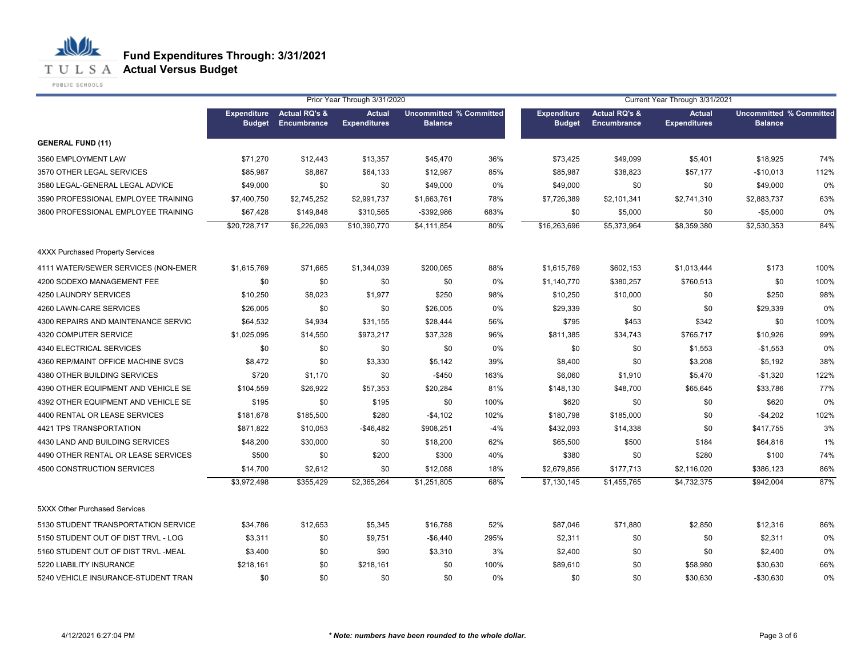## **Fund Expenditures Through: 3/31/2021**

**T U L S A Actual Versus Budget** 

PUBLIC SCHOOLS

|                                         |                                     |                                         | Prior Year Through 3/31/2020         | Current Year Through 3/31/2021 |                                |                                     |                                         |                                      |                                                  |      |
|-----------------------------------------|-------------------------------------|-----------------------------------------|--------------------------------------|--------------------------------|--------------------------------|-------------------------------------|-----------------------------------------|--------------------------------------|--------------------------------------------------|------|
|                                         | <b>Expenditure</b><br><b>Budget</b> | <b>Actual RQ's &amp;</b><br>Encumbrance | <b>Actual</b><br><b>Expenditures</b> | <b>Balance</b>                 | <b>Uncommitted % Committed</b> | <b>Expenditure</b><br><b>Budget</b> | <b>Actual RQ's &amp;</b><br>Encumbrance | <b>Actual</b><br><b>Expenditures</b> | <b>Uncommitted % Committed</b><br><b>Balance</b> |      |
| <b>GENERAL FUND (11)</b>                |                                     |                                         |                                      |                                |                                |                                     |                                         |                                      |                                                  |      |
| 3560 EMPLOYMENT LAW                     | \$71,270                            | \$12,443                                | \$13,357                             | \$45,470                       | 36%                            | \$73,425                            | \$49,099                                | \$5,401                              | \$18,925                                         | 74%  |
| 3570 OTHER LEGAL SERVICES               | \$85,987                            | \$8,867                                 | \$64,133                             | \$12,987                       | 85%                            | \$85,987                            | \$38,823                                | \$57,177                             | $-$10,013$                                       | 112% |
| 3580 LEGAL-GENERAL LEGAL ADVICE         | \$49,000                            | \$0                                     | \$0                                  | \$49,000                       | 0%                             | \$49,000                            | \$0                                     | \$0                                  | \$49,000                                         | 0%   |
| 3590 PROFESSIONAL EMPLOYEE TRAINING     | \$7,400,750                         | \$2,745,252                             | \$2,991,737                          | \$1,663,761                    | 78%                            | \$7,726,389                         | \$2,101,341                             | \$2,741,310                          | \$2,883,737                                      | 63%  |
| 3600 PROFESSIONAL EMPLOYEE TRAINING     | \$67,428                            | \$149,848                               | \$310,565                            | -\$392,986                     | 683%                           | \$0                                 | \$5,000                                 | \$0                                  | $-$5,000$                                        | 0%   |
|                                         | \$20,728,717                        | \$6,226,093                             | \$10,390,770                         | \$4,111,854                    | 80%                            | \$16,263,696                        | \$5,373,964                             | \$8,359,380                          | \$2,530,353                                      | 84%  |
| <b>4XXX Purchased Property Services</b> |                                     |                                         |                                      |                                |                                |                                     |                                         |                                      |                                                  |      |
| 4111 WATER/SEWER SERVICES (NON-EMER     | \$1,615,769                         | \$71,665                                | \$1,344,039                          | \$200,065                      | 88%                            | \$1,615,769                         | \$602,153                               | \$1,013,444                          | \$173                                            | 100% |
| 4200 SODEXO MANAGEMENT FEE              | \$0                                 | \$0                                     | \$0                                  | \$0                            | 0%                             | \$1,140,770                         | \$380,257                               | \$760,513                            | \$0                                              | 100% |
| 4250 LAUNDRY SERVICES                   | \$10,250                            | \$8,023                                 | \$1,977                              | \$250                          | 98%                            | \$10,250                            | \$10,000                                | \$0                                  | \$250                                            | 98%  |
| 4260 LAWN-CARE SERVICES                 | \$26,005                            | \$0                                     | \$0                                  | \$26,005                       | 0%                             | \$29,339                            | \$0                                     | \$0                                  | \$29,339                                         | 0%   |
| 4300 REPAIRS AND MAINTENANCE SERVIC     | \$64,532                            | \$4,934                                 | \$31,155                             | \$28,444                       | 56%                            | \$795                               | \$453                                   | \$342                                | \$0                                              | 100% |
| 4320 COMPUTER SERVICE                   | \$1,025,095                         | \$14,550                                | \$973,217                            | \$37,328                       | 96%                            | \$811,385                           | \$34,743                                | \$765,717                            | \$10,926                                         | 99%  |
| 4340 ELECTRICAL SERVICES                | \$0                                 | \$0                                     | \$0                                  | \$0                            | 0%                             | \$0                                 | \$0                                     | \$1,553                              | $-$1,553$                                        | 0%   |
| 4360 REP/MAINT OFFICE MACHINE SVCS      | \$8,472                             | \$0                                     | \$3,330                              | \$5,142                        | 39%                            | \$8,400                             | \$0                                     | \$3,208                              | \$5,192                                          | 38%  |
| 4380 OTHER BUILDING SERVICES            | \$720                               | \$1,170                                 | \$0                                  | $-$450$                        | 163%                           | \$6,060                             | \$1,910                                 | \$5,470                              | $-$1,320$                                        | 122% |
| 4390 OTHER EQUIPMENT AND VEHICLE SE     | \$104,559                           | \$26,922                                | \$57,353                             | \$20,284                       | 81%                            | \$148,130                           | \$48,700                                | \$65,645                             | \$33,786                                         | 77%  |
| 4392 OTHER EQUIPMENT AND VEHICLE SE     | \$195                               | \$0                                     | \$195                                | \$0                            | 100%                           | \$620                               | \$0                                     | \$0                                  | \$620                                            | 0%   |
| 4400 RENTAL OR LEASE SERVICES           | \$181,678                           | \$185,500                               | \$280                                | $-$4,102$                      | 102%                           | \$180,798                           | \$185,000                               | \$0                                  | $-$4,202$                                        | 102% |
| 4421 TPS TRANSPORTATION                 | \$871,822                           | \$10,053                                | $-$46,482$                           | \$908,251                      | $-4%$                          | \$432,093                           | \$14,338                                | \$0                                  | \$417,755                                        | 3%   |
| 4430 LAND AND BUILDING SERVICES         | \$48,200                            | \$30,000                                | \$0                                  | \$18,200                       | 62%                            | \$65,500                            | \$500                                   | \$184                                | \$64,816                                         | 1%   |
| 4490 OTHER RENTAL OR LEASE SERVICES     | \$500                               | \$0                                     | \$200                                | \$300                          | 40%                            | \$380                               | \$0                                     | \$280                                | \$100                                            | 74%  |
| 4500 CONSTRUCTION SERVICES              | \$14,700                            | \$2,612                                 | \$0                                  | \$12,088                       | 18%                            | \$2,679,856                         | \$177,713                               | \$2,116,020                          | \$386,123                                        | 86%  |
|                                         | \$3,972,498                         | \$355,429                               | \$2,365,264                          | \$1,251,805                    | 68%                            | \$7,130,145                         | \$1,455,765                             | \$4,732,375                          | \$942,004                                        | 87%  |
| 5XXX Other Purchased Services           |                                     |                                         |                                      |                                |                                |                                     |                                         |                                      |                                                  |      |
| 5130 STUDENT TRANSPORTATION SERVICE     | \$34,786                            | \$12,653                                | \$5,345                              | \$16,788                       | 52%                            | \$87,046                            | \$71,880                                | \$2,850                              | \$12,316                                         | 86%  |
| 5150 STUDENT OUT OF DIST TRVL - LOG     | \$3,311                             | \$0                                     | \$9,751                              | $-$6,440$                      | 295%                           | \$2,311                             | \$0                                     | \$0                                  | \$2,311                                          | 0%   |
| 5160 STUDENT OUT OF DIST TRVL -MEAL     | \$3,400                             | \$0                                     | \$90                                 | \$3,310                        | 3%                             | \$2,400                             | \$0                                     | \$0                                  | \$2,400                                          | 0%   |
| 5220 LIABILITY INSURANCE                | \$218,161                           | \$0                                     | \$218,161                            | \$0                            | 100%                           | \$89,610                            | \$0                                     | \$58,980                             | \$30,630                                         | 66%  |
| 5240 VEHICLE INSURANCE-STUDENT TRAN     | \$0                                 | \$0                                     | \$0                                  | \$0                            | 0%                             | \$0                                 | \$0                                     | \$30,630                             | $-$30.630$                                       | 0%   |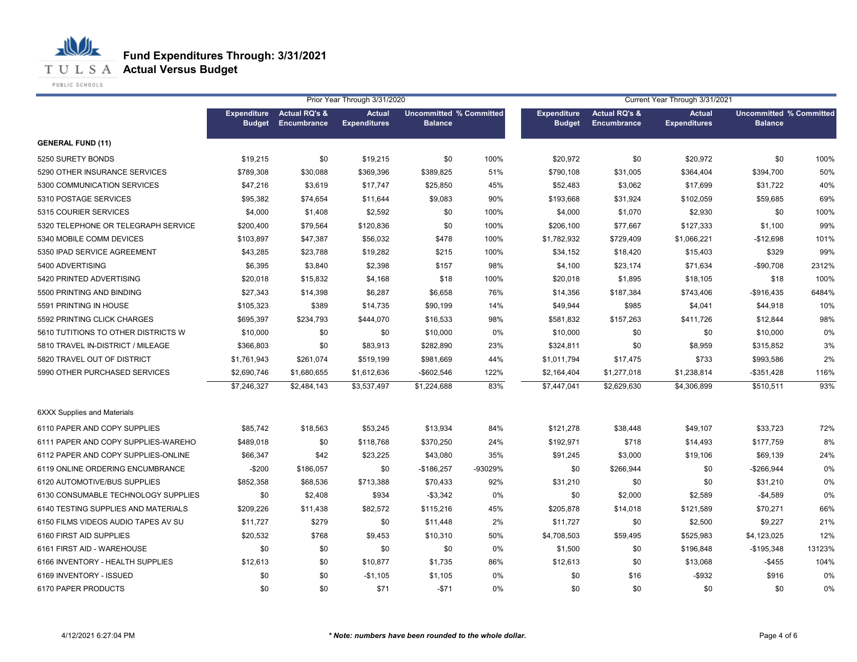**Fund Expenditures Through: 3/31/2021**

**T U L S A Actual Versus Budget** 

PUBLIC SCHOOLS

|                                     |                                     |                                         | Prior Year Through 3/31/2020         |                                                  | Current Year Through 3/31/2021 |                                     |                                         |                                      |                                                  |        |
|-------------------------------------|-------------------------------------|-----------------------------------------|--------------------------------------|--------------------------------------------------|--------------------------------|-------------------------------------|-----------------------------------------|--------------------------------------|--------------------------------------------------|--------|
|                                     | <b>Expenditure</b><br><b>Budget</b> | <b>Actual RQ's &amp;</b><br>Encumbrance | <b>Actual</b><br><b>Expenditures</b> | <b>Uncommitted % Committed</b><br><b>Balance</b> |                                | <b>Expenditure</b><br><b>Budget</b> | <b>Actual RQ's &amp;</b><br>Encumbrance | <b>Actual</b><br><b>Expenditures</b> | <b>Uncommitted % Committed</b><br><b>Balance</b> |        |
| <b>GENERAL FUND (11)</b>            |                                     |                                         |                                      |                                                  |                                |                                     |                                         |                                      |                                                  |        |
| 5250 SURETY BONDS                   | \$19,215                            | \$0                                     | \$19,215                             | \$0                                              | 100%                           | \$20,972                            | \$0                                     | \$20,972                             | \$0                                              | 100%   |
| 5290 OTHER INSURANCE SERVICES       | \$789,308                           | \$30,088                                | \$369,396                            | \$389,825                                        | 51%                            | \$790,108                           | \$31,005                                | \$364,404                            | \$394,700                                        | 50%    |
| 5300 COMMUNICATION SERVICES         | \$47,216                            | \$3,619                                 | \$17,747                             | \$25,850                                         | 45%                            | \$52,483                            | \$3,062                                 | \$17,699                             | \$31,722                                         | 40%    |
| 5310 POSTAGE SERVICES               | \$95,382                            | \$74,654                                | \$11,644                             | \$9,083                                          | 90%                            | \$193,668                           | \$31,924                                | \$102,059                            | \$59,685                                         | 69%    |
| 5315 COURIER SERVICES               | \$4,000                             | \$1,408                                 | \$2,592                              | \$0                                              | 100%                           | \$4,000                             | \$1,070                                 | \$2,930                              | \$0                                              | 100%   |
| 5320 TELEPHONE OR TELEGRAPH SERVICE | \$200,400                           | \$79,564                                | \$120,836                            | \$0                                              | 100%                           | \$206,100                           | \$77,667                                | \$127,333                            | \$1,100                                          | 99%    |
| 5340 MOBILE COMM DEVICES            | \$103,897                           | \$47,387                                | \$56,032                             | \$478                                            | 100%                           | \$1,782,932                         | \$729,409                               | \$1,066,221                          | $-$12,698$                                       | 101%   |
| 5350 IPAD SERVICE AGREEMENT         | \$43,285                            | \$23,788                                | \$19,282                             | \$215                                            | 100%                           | \$34,152                            | \$18,420                                | \$15,403                             | \$329                                            | 99%    |
| 5400 ADVERTISING                    | \$6,395                             | \$3,840                                 | \$2,398                              | \$157                                            | 98%                            | \$4,100                             | \$23,174                                | \$71,634                             | $-$90,708$                                       | 2312%  |
| 5420 PRINTED ADVERTISING            | \$20,018                            | \$15,832                                | \$4,168                              | \$18                                             | 100%                           | \$20,018                            | \$1,895                                 | \$18,105                             | \$18                                             | 100%   |
| 5500 PRINTING AND BINDING           | \$27,343                            | \$14,398                                | \$6,287                              | \$6,658                                          | 76%                            | \$14,356                            | \$187,384                               | \$743,406                            | $-$916,435$                                      | 6484%  |
| 5591 PRINTING IN HOUSE              | \$105,323                           | \$389                                   | \$14,735                             | \$90,199                                         | 14%                            | \$49,944                            | \$985                                   | \$4,041                              | \$44,918                                         | 10%    |
| 5592 PRINTING CLICK CHARGES         | \$695,397                           | \$234,793                               | \$444,070                            | \$16,533                                         | 98%                            | \$581,832                           | \$157,263                               | \$411,726                            | \$12,844                                         | 98%    |
| 5610 TUTITIONS TO OTHER DISTRICTS W | \$10,000                            | \$0                                     | \$0                                  | \$10,000                                         | 0%                             | \$10,000                            | \$0                                     | \$0                                  | \$10,000                                         | 0%     |
| 5810 TRAVEL IN-DISTRICT / MILEAGE   | \$366,803                           | \$0                                     | \$83,913                             | \$282,890                                        | 23%                            | \$324,811                           | \$0                                     | \$8,959                              | \$315,852                                        | 3%     |
| 5820 TRAVEL OUT OF DISTRICT         | \$1,761,943                         | \$261,074                               | \$519,199                            | \$981,669                                        | 44%                            | \$1,011,794                         | \$17,475                                | \$733                                | \$993,586                                        | 2%     |
| 5990 OTHER PURCHASED SERVICES       | \$2,690,746                         | \$1,680,655                             | \$1,612,636                          | -\$602,546                                       | 122%                           | \$2,164,404                         | \$1,277,018                             | \$1,238,814                          | $-$ \$351,428                                    | 116%   |
|                                     | \$7,246,327                         | \$2,484,143                             | \$3,537,497                          | \$1,224,688                                      | 83%                            | \$7,447,041                         | \$2,629,630                             | \$4,306,899                          | \$510,511                                        | 93%    |
| <b>6XXX Supplies and Materials</b>  |                                     |                                         |                                      |                                                  |                                |                                     |                                         |                                      |                                                  |        |
| 6110 PAPER AND COPY SUPPLIES        | \$85,742                            | \$18,563                                | \$53,245                             | \$13,934                                         | 84%                            | \$121,278                           | \$38,448                                | \$49,107                             | \$33,723                                         | 72%    |
| 6111 PAPER AND COPY SUPPLIES-WAREHO | \$489,018                           | \$0                                     | \$118,768                            | \$370,250                                        | 24%                            | \$192,971                           | \$718                                   | \$14,493                             | \$177,759                                        | 8%     |
| 6112 PAPER AND COPY SUPPLIES-ONLINE | \$66,347                            | \$42                                    | \$23,225                             | \$43,080                                         | 35%                            | \$91,245                            | \$3,000                                 | \$19,106                             | \$69,139                                         | 24%    |
| 6119 ONLINE ORDERING ENCUMBRANCE    | -\$200                              | \$186,057                               | \$0                                  | -\$186,257                                       | -93029%                        | \$0                                 | \$266,944                               | \$0                                  | $-$266,944$                                      | 0%     |
| 6120 AUTOMOTIVE/BUS SUPPLIES        | \$852,358                           | \$68,536                                | \$713,388                            | \$70,433                                         | 92%                            | \$31,210                            | \$0                                     | \$0                                  | \$31,210                                         | 0%     |
| 6130 CONSUMABLE TECHNOLOGY SUPPLIES | \$0                                 | \$2,408                                 | \$934                                | $-$ \$3,342                                      | 0%                             | \$0                                 | \$2,000                                 | \$2,589                              | $-$4,589$                                        | 0%     |
| 6140 TESTING SUPPLIES AND MATERIALS | \$209,226                           | \$11,438                                | \$82,572                             | \$115,216                                        | 45%                            | \$205,878                           | \$14,018                                | \$121,589                            | \$70,271                                         | 66%    |
| 6150 FILMS VIDEOS AUDIO TAPES AV SU | \$11,727                            | \$279                                   | \$0                                  | \$11,448                                         | 2%                             | \$11,727                            | \$0                                     | \$2,500                              | \$9,227                                          | 21%    |
| 6160 FIRST AID SUPPLIES             | \$20,532                            | \$768                                   | \$9,453                              | \$10,310                                         | 50%                            | \$4,708,503                         | \$59,495                                | \$525,983                            | \$4,123,025                                      | 12%    |
| 6161 FIRST AID - WAREHOUSE          | \$0                                 | \$0                                     | \$0                                  | \$0                                              | 0%                             | \$1,500                             | \$0                                     | \$196,848                            | $-$195,348$                                      | 13123% |
| 6166 INVENTORY - HEALTH SUPPLIES    | \$12,613                            | \$0                                     | \$10,877                             | \$1,735                                          | 86%                            | \$12,613                            | \$0                                     | \$13,068                             | $-$ \$455                                        | 104%   |
| 6169 INVENTORY - ISSUED             | \$0                                 | \$0                                     | $-$1,105$                            | \$1,105                                          | 0%                             | \$0                                 | \$16                                    | $-$ \$932                            | \$916                                            | 0%     |
| 6170 PAPER PRODUCTS                 | \$0                                 | \$0                                     | \$71                                 | $-$71$                                           | 0%                             | \$0                                 | \$0                                     | \$0                                  | \$0                                              | 0%     |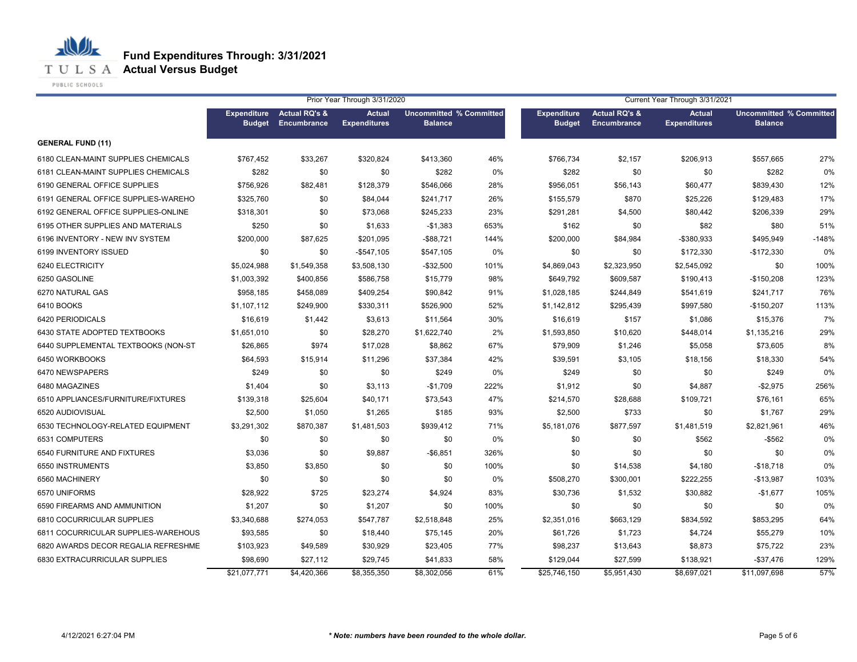

PUBLIC SCHOOLS

|                                     |                                     |                                         | Prior Year Through 3/31/2020         |                |                                |                                     |                                         | Current Year Through 3/31/2021       |                                                  |         |
|-------------------------------------|-------------------------------------|-----------------------------------------|--------------------------------------|----------------|--------------------------------|-------------------------------------|-----------------------------------------|--------------------------------------|--------------------------------------------------|---------|
|                                     | <b>Expenditure</b><br><b>Budget</b> | <b>Actual RQ's &amp;</b><br>Encumbrance | <b>Actual</b><br><b>Expenditures</b> | <b>Balance</b> | <b>Uncommitted % Committed</b> | <b>Expenditure</b><br><b>Budget</b> | <b>Actual RQ's &amp;</b><br>Encumbrance | <b>Actual</b><br><b>Expenditures</b> | <b>Uncommitted % Committed</b><br><b>Balance</b> |         |
| <b>GENERAL FUND (11)</b>            |                                     |                                         |                                      |                |                                |                                     |                                         |                                      |                                                  |         |
| 6180 CLEAN-MAINT SUPPLIES CHEMICALS | \$767,452                           | \$33,267                                | \$320,824                            | \$413,360      | 46%                            | \$766,734                           | \$2,157                                 | \$206,913                            | \$557,665                                        | 27%     |
| 6181 CLEAN-MAINT SUPPLIES CHEMICALS | \$282                               | \$0                                     | \$0                                  | \$282          | 0%                             | \$282                               | \$0                                     | \$0                                  | \$282                                            | 0%      |
| 6190 GENERAL OFFICE SUPPLIES        | \$756,926                           | \$82,481                                | \$128,379                            | \$546,066      | 28%                            | \$956,051                           | \$56,143                                | \$60,477                             | \$839,430                                        | 12%     |
| 6191 GENERAL OFFICE SUPPLIES-WAREHO | \$325,760                           | \$0                                     | \$84,044                             | \$241,717      | 26%                            | \$155,579                           | \$870                                   | \$25,226                             | \$129,483                                        | 17%     |
| 6192 GENERAL OFFICE SUPPLIES-ONLINE | \$318,301                           | \$0                                     | \$73,068                             | \$245,233      | 23%                            | \$291,281                           | \$4,500                                 | \$80,442                             | \$206,339                                        | 29%     |
| 6195 OTHER SUPPLIES AND MATERIALS   | \$250                               | \$0                                     | \$1,633                              | $-$1,383$      | 653%                           | \$162                               | \$0                                     | \$82                                 | \$80                                             | 51%     |
| 6196 INVENTORY - NEW INV SYSTEM     | \$200,000                           | \$87,625                                | \$201,095                            | $-$ \$88,721   | 144%                           | \$200,000                           | \$84,984                                | -\$380,933                           | \$495,949                                        | $-148%$ |
| 6199 INVENTORY ISSUED               | \$0                                 | \$0                                     | $-$547,105$                          | \$547,105      | 0%                             | \$0                                 | \$0                                     | \$172,330                            | -\$172,330                                       | 0%      |
| 6240 ELECTRICITY                    | \$5,024,988                         | \$1,549,358                             | \$3,508,130                          | $-$32,500$     | 101%                           | \$4,869,043                         | \$2,323,950                             | \$2,545,092                          | \$0                                              | 100%    |
| 6250 GASOLINE                       | \$1,003,392                         | \$400,856                               | \$586,758                            | \$15,779       | 98%                            | \$649,792                           | \$609,587                               | \$190,413                            | $-$150,208$                                      | 123%    |
| 6270 NATURAL GAS                    | \$958,185                           | \$458,089                               | \$409,254                            | \$90,842       | 91%                            | \$1,028,185                         | \$244,849                               | \$541,619                            | \$241,717                                        | 76%     |
| 6410 BOOKS                          | \$1,107,112                         | \$249,900                               | \$330,311                            | \$526,900      | 52%                            | \$1,142,812                         | \$295,439                               | \$997,580                            | $-$150,207$                                      | 113%    |
| 6420 PERIODICALS                    | \$16,619                            | \$1,442                                 | \$3,613                              | \$11,564       | 30%                            | \$16,619                            | \$157                                   | \$1,086                              | \$15,376                                         | 7%      |
| 6430 STATE ADOPTED TEXTBOOKS        | \$1,651,010                         | \$0                                     | \$28,270                             | \$1,622,740    | 2%                             | \$1,593,850                         | \$10,620                                | \$448,014                            | \$1,135,216                                      | 29%     |
| 6440 SUPPLEMENTAL TEXTBOOKS (NON-ST | \$26,865                            | \$974                                   | \$17,028                             | \$8,862        | 67%                            | \$79,909                            | \$1,246                                 | \$5,058                              | \$73,605                                         | 8%      |
| 6450 WORKBOOKS                      | \$64,593                            | \$15,914                                | \$11,296                             | \$37,384       | 42%                            | \$39,591                            | \$3,105                                 | \$18,156                             | \$18,330                                         | 54%     |
| 6470 NEWSPAPERS                     | \$249                               | \$0                                     | \$0                                  | \$249          | 0%                             | \$249                               | \$0                                     | \$0                                  | \$249                                            | 0%      |
| 6480 MAGAZINES                      | \$1,404                             | \$0                                     | \$3,113                              | $-$1,709$      | 222%                           | \$1,912                             | \$0                                     | \$4,887                              | $-$2,975$                                        | 256%    |
| 6510 APPLIANCES/FURNITURE/FIXTURES  | \$139,318                           | \$25,604                                | \$40,171                             | \$73,543       | 47%                            | \$214,570                           | \$28,688                                | \$109,721                            | \$76,161                                         | 65%     |
| 6520 AUDIOVISUAL                    | \$2,500                             | \$1,050                                 | \$1,265                              | \$185          | 93%                            | \$2,500                             | \$733                                   | \$0                                  | \$1,767                                          | 29%     |
| 6530 TECHNOLOGY-RELATED EQUIPMENT   | \$3,291,302                         | \$870,387                               | \$1,481,503                          | \$939,412      | 71%                            | \$5,181,076                         | \$877,597                               | \$1,481,519                          | \$2,821,961                                      | 46%     |
| 6531 COMPUTERS                      | \$0                                 | \$0                                     | \$0                                  | \$0            | 0%                             | \$0                                 | \$0                                     | \$562                                | $-$ \$562                                        | 0%      |
| 6540 FURNITURE AND FIXTURES         | \$3,036                             | \$0                                     | \$9,887                              | $-$6,851$      | 326%                           | \$0                                 | \$0                                     | \$0                                  | \$0                                              | 0%      |
| 6550 INSTRUMENTS                    | \$3,850                             | \$3,850                                 | \$0                                  | \$0            | 100%                           | \$0                                 | \$14,538                                | \$4,180                              | $-$18,718$                                       | 0%      |
| 6560 MACHINERY                      | \$0                                 | \$0                                     | \$0                                  | \$0            | 0%                             | \$508,270                           | \$300,001                               | \$222,255                            | $-$13,987$                                       | 103%    |
| 6570 UNIFORMS                       | \$28,922                            | \$725                                   | \$23,274                             | \$4,924        | 83%                            | \$30,736                            | \$1,532                                 | \$30,882                             | $-$1,677$                                        | 105%    |
| 6590 FIREARMS AND AMMUNITION        | \$1,207                             | \$0                                     | \$1,207                              | \$0            | 100%                           | \$0                                 | \$0                                     | \$0                                  | \$0                                              | 0%      |
| 6810 COCURRICULAR SUPPLIES          | \$3,340,688                         | \$274,053                               | \$547,787                            | \$2,518,848    | 25%                            | \$2,351,016                         | \$663,129                               | \$834,592                            | \$853,295                                        | 64%     |
| 6811 COCURRICULAR SUPPLIES-WAREHOUS | \$93,585                            | \$0                                     | \$18,440                             | \$75,145       | 20%                            | \$61,726                            | \$1,723                                 | \$4,724                              | \$55,279                                         | 10%     |
| 6820 AWARDS DECOR REGALIA REFRESHME | \$103,923                           | \$49,589                                | \$30,929                             | \$23,405       | 77%                            | \$98,237                            | \$13,643                                | \$8,873                              | \$75,722                                         | 23%     |
| 6830 EXTRACURRICULAR SUPPLIES       | \$98,690                            | \$27,112                                | \$29,745                             | \$41,833       | 58%                            | \$129,044                           | \$27,599                                | \$138,921                            | $-$37,476$                                       | 129%    |
|                                     | \$21,077,771                        | \$4,420,366                             | \$8,355,350                          | \$8,302,056    | 61%                            | \$25,746,150                        | \$5,951,430                             | \$8,697,021                          | \$11,097,698                                     | 57%     |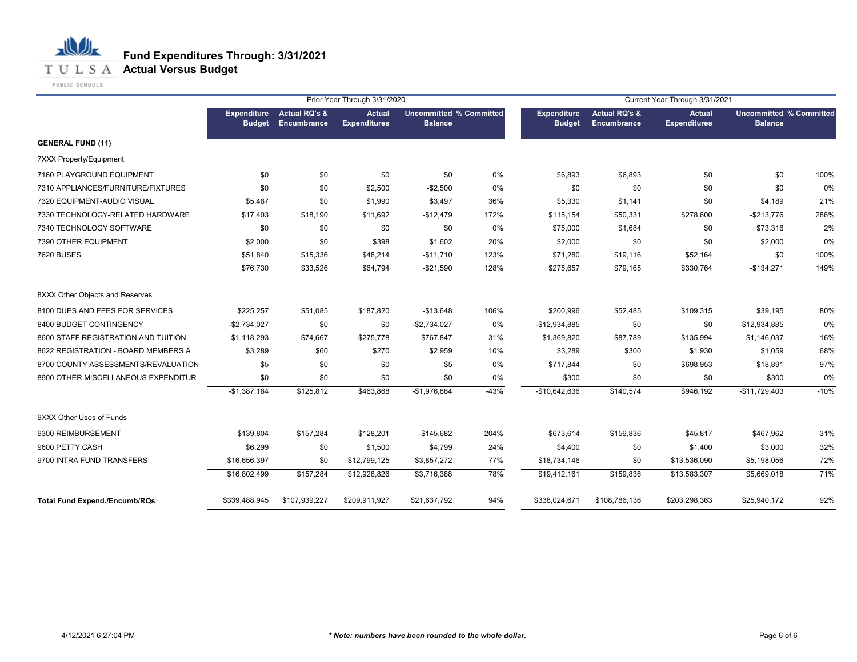

PUBLIC SCHOOLS

|                                      |                                     |                                         | Prior Year Through 3/31/2020         |                                                  |        | Current Year Through 3/31/2021      |                                         |                                      |                                                  |        |  |
|--------------------------------------|-------------------------------------|-----------------------------------------|--------------------------------------|--------------------------------------------------|--------|-------------------------------------|-----------------------------------------|--------------------------------------|--------------------------------------------------|--------|--|
|                                      | <b>Expenditure</b><br><b>Budget</b> | <b>Actual RQ's &amp;</b><br>Encumbrance | <b>Actual</b><br><b>Expenditures</b> | <b>Uncommitted % Committed</b><br><b>Balance</b> |        | <b>Expenditure</b><br><b>Budget</b> | <b>Actual RQ's &amp;</b><br>Encumbrance | <b>Actual</b><br><b>Expenditures</b> | <b>Uncommitted % Committed</b><br><b>Balance</b> |        |  |
| <b>GENERAL FUND (11)</b>             |                                     |                                         |                                      |                                                  |        |                                     |                                         |                                      |                                                  |        |  |
| 7XXX Property/Equipment              |                                     |                                         |                                      |                                                  |        |                                     |                                         |                                      |                                                  |        |  |
| 7160 PLAYGROUND EQUIPMENT            | \$0                                 | \$0                                     | \$0                                  | \$0                                              | 0%     | \$6,893                             | \$6,893                                 | \$0                                  | \$0                                              | 100%   |  |
| 7310 APPLIANCES/FURNITURE/FIXTURES   | \$0                                 | \$0                                     | \$2,500                              | $-$2,500$                                        | 0%     | \$0                                 | \$0                                     | \$0                                  | \$0                                              | 0%     |  |
| 7320 EQUIPMENT-AUDIO VISUAL          | \$5,487                             | \$0                                     | \$1,990                              | \$3,497                                          | 36%    | \$5,330                             | \$1,141                                 | \$0                                  | \$4,189                                          | 21%    |  |
| 7330 TECHNOLOGY-RELATED HARDWARE     | \$17,403                            | \$18,190                                | \$11,692                             | $-$12,479$                                       | 172%   | \$115,154                           | \$50,331                                | \$278,600                            | $-$213,776$                                      | 286%   |  |
| 7340 TECHNOLOGY SOFTWARE             | \$0                                 | \$0                                     | \$0                                  | \$0                                              | 0%     | \$75,000                            | \$1,684                                 | \$0                                  | \$73,316                                         | 2%     |  |
| 7390 OTHER EQUIPMENT                 | \$2,000                             | \$0                                     | \$398                                | \$1,602                                          | 20%    | \$2,000                             | \$0                                     | \$0                                  | \$2,000                                          | 0%     |  |
| <b>7620 BUSES</b>                    | \$51,840                            | \$15,336                                | \$48,214                             | $-$11,710$                                       | 123%   | \$71,280                            | \$19,116                                | \$52,164                             | \$0                                              | 100%   |  |
|                                      | \$76,730                            | \$33,526                                | \$64,794                             | $-$21,590$                                       | 128%   | \$275,657                           | \$79,165                                | \$330,764                            | $-$134,271$                                      | 149%   |  |
| 8XXX Other Objects and Reserves      |                                     |                                         |                                      |                                                  |        |                                     |                                         |                                      |                                                  |        |  |
| 8100 DUES AND FEES FOR SERVICES      | \$225,257                           | \$51,085                                | \$187,820                            | $-$13,648$                                       | 106%   | \$200,996                           | \$52,485                                | \$109,315                            | \$39,195                                         | 80%    |  |
| 8400 BUDGET CONTINGENCY              | $-$2,734,027$                       | \$0                                     | \$0                                  | $-$2,734,027$                                    | 0%     | $-$12,934,885$                      | \$0                                     | \$0                                  | -\$12,934,885                                    | $0\%$  |  |
| 8600 STAFF REGISTRATION AND TUITION  | \$1,118,293                         | \$74,667                                | \$275,778                            | \$767,847                                        | 31%    | \$1,369,820                         | \$87,789                                | \$135,994                            | \$1,146,037                                      | 16%    |  |
| 8622 REGISTRATION - BOARD MEMBERS A  | \$3,289                             | \$60                                    | \$270                                | \$2,959                                          | 10%    | \$3,289                             | \$300                                   | \$1,930                              | \$1,059                                          | 68%    |  |
| 8700 COUNTY ASSESSMENTS/REVALUATION  | \$5                                 | \$0                                     | \$0                                  | \$5                                              | 0%     | \$717,844                           | \$0                                     | \$698,953                            | \$18,891                                         | 97%    |  |
| 8900 OTHER MISCELLANEOUS EXPENDITUR  | \$0                                 | \$0                                     | \$0                                  | \$0                                              | 0%     | \$300                               | \$0                                     | \$0                                  | \$300                                            | 0%     |  |
|                                      | $-$1,387,184$                       | \$125,812                               | \$463,868                            | $-$1,976,864$                                    | $-43%$ | $-$10,642,636$                      | \$140,574                               | \$946,192                            | $-$11,729,403$                                   | $-10%$ |  |
| 9XXX Other Uses of Funds             |                                     |                                         |                                      |                                                  |        |                                     |                                         |                                      |                                                  |        |  |
| 9300 REIMBURSEMENT                   | \$139,804                           | \$157,284                               | \$128,201                            | $-$145,682$                                      | 204%   | \$673,614                           | \$159,836                               | \$45,817                             | \$467,962                                        | 31%    |  |
| 9600 PETTY CASH                      | \$6,299                             | \$0                                     | \$1,500                              | \$4,799                                          | 24%    | \$4,400                             | \$0                                     | \$1,400                              | \$3,000                                          | 32%    |  |
| 9700 INTRA FUND TRANSFERS            | \$16,656,397                        | \$0                                     | \$12,799,125                         | \$3,857,272                                      | 77%    | \$18,734,146                        | \$0                                     | \$13,536,090                         | \$5,198,056                                      | 72%    |  |
|                                      | \$16,802,499                        | \$157,284                               | \$12,928,826                         | \$3,716,388                                      | 78%    | \$19,412,161                        | \$159,836                               | \$13,583,307                         | \$5,669,018                                      | 71%    |  |
| <b>Total Fund Expend./Encumb/RQs</b> | \$339,488,945                       | \$107,939,227                           | \$209,911,927                        | \$21,637,792                                     | 94%    | \$338,024,671                       | \$108,786,136                           | \$203,298,363                        | \$25,940,172                                     | 92%    |  |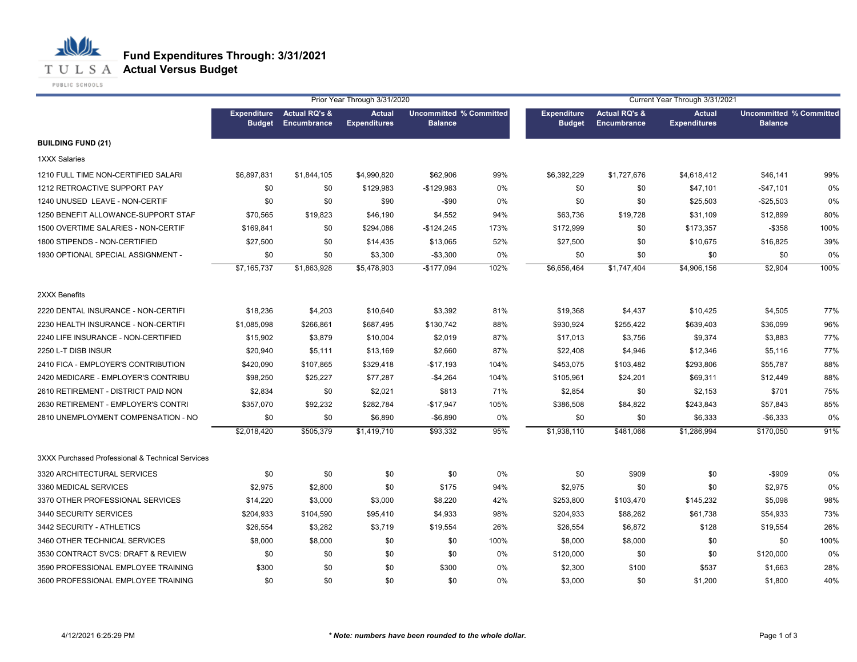

|                                                  |                                     |                                         | Prior Year Through 3/31/2020         |                                                  |      |                                     |                                         | Current Year Through 3/31/2021       |                                                  |      |
|--------------------------------------------------|-------------------------------------|-----------------------------------------|--------------------------------------|--------------------------------------------------|------|-------------------------------------|-----------------------------------------|--------------------------------------|--------------------------------------------------|------|
|                                                  | <b>Expenditure</b><br><b>Budget</b> | <b>Actual RQ's &amp;</b><br>Encumbrance | <b>Actual</b><br><b>Expenditures</b> | <b>Uncommitted % Committed</b><br><b>Balance</b> |      | <b>Expenditure</b><br><b>Budget</b> | <b>Actual RQ's &amp;</b><br>Encumbrance | <b>Actual</b><br><b>Expenditures</b> | <b>Uncommitted % Committed</b><br><b>Balance</b> |      |
| <b>BUILDING FUND (21)</b>                        |                                     |                                         |                                      |                                                  |      |                                     |                                         |                                      |                                                  |      |
| 1XXX Salaries                                    |                                     |                                         |                                      |                                                  |      |                                     |                                         |                                      |                                                  |      |
| 1210 FULL TIME NON-CERTIFIED SALARI              | \$6,897,831                         | \$1,844,105                             | \$4,990,820                          | \$62,906                                         | 99%  | \$6,392,229                         | \$1,727,676                             | \$4,618,412                          | \$46,141                                         | 99%  |
| 1212 RETROACTIVE SUPPORT PAY                     | \$0                                 | \$0                                     | \$129,983                            | $-$129,983$                                      | 0%   | \$0                                 | \$0                                     | \$47,101                             | $-$47,101$                                       | 0%   |
| 1240 UNUSED LEAVE - NON-CERTIF                   | \$0                                 | \$0                                     | \$90                                 | $-$90$                                           | 0%   | \$0                                 | \$0                                     | \$25,503                             | $-$25,503$                                       | 0%   |
| 1250 BENEFIT ALLOWANCE-SUPPORT STAF              | \$70,565                            | \$19,823                                | \$46,190                             | \$4,552                                          | 94%  | \$63,736                            | \$19,728                                | \$31,109                             | \$12,899                                         | 80%  |
| 1500 OVERTIME SALARIES - NON-CERTIF              | \$169,841                           | \$0                                     | \$294,086                            | $-$124,245$                                      | 173% | \$172,999                           | \$0                                     | \$173,357                            | $-$ \$358                                        | 100% |
| 1800 STIPENDS - NON-CERTIFIED                    | \$27,500                            | \$0                                     | \$14,435                             | \$13,065                                         | 52%  | \$27,500                            | \$0                                     | \$10,675                             | \$16,825                                         | 39%  |
| 1930 OPTIONAL SPECIAL ASSIGNMENT -               | \$0                                 | \$0                                     | \$3,300                              | $-$3,300$                                        | 0%   | \$0                                 | \$0                                     | \$0                                  | \$0                                              | 0%   |
|                                                  | \$7,165,737                         | \$1,863,928                             | \$5,478,903                          | $-$177,094$                                      | 102% | \$6,656,464                         | \$1,747,404                             | \$4,906,156                          | \$2,904                                          | 100% |
| 2XXX Benefits                                    |                                     |                                         |                                      |                                                  |      |                                     |                                         |                                      |                                                  |      |
| 2220 DENTAL INSURANCE - NON-CERTIFI              | \$18,236                            | \$4,203                                 | \$10,640                             | \$3,392                                          | 81%  | \$19,368                            | \$4,437                                 | \$10,425                             | \$4,505                                          | 77%  |
| 2230 HEALTH INSURANCE - NON-CERTIFI              | \$1,085,098                         | \$266,861                               | \$687,495                            | \$130,742                                        | 88%  | \$930,924                           | \$255,422                               | \$639,403                            | \$36,099                                         | 96%  |
| 2240 LIFE INSURANCE - NON-CERTIFIED              | \$15,902                            | \$3,879                                 | \$10,004                             | \$2,019                                          | 87%  | \$17,013                            | \$3,756                                 | \$9,374                              | \$3,883                                          | 77%  |
| 2250 L-T DISB INSUR                              | \$20,940                            | \$5,111                                 | \$13,169                             | \$2,660                                          | 87%  | \$22,408                            | \$4,946                                 | \$12,346                             | \$5,116                                          | 77%  |
| 2410 FICA - EMPLOYER'S CONTRIBUTION              | \$420,090                           | \$107,865                               | \$329,418                            | $-$17,193$                                       | 104% | \$453,075                           | \$103,482                               | \$293,806                            | \$55,787                                         | 88%  |
| 2420 MEDICARE - EMPLOYER'S CONTRIBU              | \$98,250                            | \$25,227                                | \$77,287                             | $-$4,264$                                        | 104% | \$105,961                           | \$24,201                                | \$69,311                             | \$12,449                                         | 88%  |
| 2610 RETIREMENT - DISTRICT PAID NON              | \$2,834                             | \$0                                     | \$2,021                              | \$813                                            | 71%  | \$2,854                             | \$0                                     | \$2,153                              | \$701                                            | 75%  |
| 2630 RETIREMENT - EMPLOYER'S CONTRI              | \$357,070                           | \$92,232                                | \$282,784                            | $-$17,947$                                       | 105% | \$386,508                           | \$84,822                                | \$243,843                            | \$57,843                                         | 85%  |
| 2810 UNEMPLOYMENT COMPENSATION - NO              | \$0                                 | \$0                                     | \$6,890                              | $-$6,890$                                        | 0%   | \$0                                 | \$0                                     | \$6,333                              | $-$6,333$                                        | 0%   |
|                                                  | \$2,018,420                         | \$505,379                               | \$1,419,710                          | \$93,332                                         | 95%  | \$1,938,110                         | \$481,066                               | \$1,286,994                          | \$170,050                                        | 91%  |
| 3XXX Purchased Professional & Technical Services |                                     |                                         |                                      |                                                  |      |                                     |                                         |                                      |                                                  |      |
| 3320 ARCHITECTURAL SERVICES                      | \$0                                 | \$0                                     | \$0                                  | \$0                                              | 0%   | \$0                                 | \$909                                   | \$0                                  | $-$909$                                          | 0%   |
| 3360 MEDICAL SERVICES                            | \$2,975                             | \$2,800                                 | \$0                                  | \$175                                            | 94%  | \$2,975                             | \$0                                     | \$0                                  | \$2,975                                          | 0%   |
| 3370 OTHER PROFESSIONAL SERVICES                 | \$14,220                            | \$3,000                                 | \$3,000                              | \$8,220                                          | 42%  | \$253,800                           | \$103,470                               | \$145,232                            | \$5,098                                          | 98%  |
| 3440 SECURITY SERVICES                           | \$204,933                           | \$104,590                               | \$95,410                             | \$4,933                                          | 98%  | \$204,933                           | \$88,262                                | \$61,738                             | \$54,933                                         | 73%  |
| 3442 SECURITY - ATHLETICS                        | \$26,554                            | \$3,282                                 | \$3,719                              | \$19,554                                         | 26%  | \$26,554                            | \$6,872                                 | \$128                                | \$19,554                                         | 26%  |
| 3460 OTHER TECHNICAL SERVICES                    | \$8,000                             | \$8,000                                 | \$0                                  | \$0                                              | 100% | \$8,000                             | \$8,000                                 | \$0                                  | \$0                                              | 100% |
| 3530 CONTRACT SVCS: DRAFT & REVIEW               | \$0                                 | \$0                                     | \$0                                  | \$0                                              | 0%   | \$120,000                           | \$0                                     | \$0                                  | \$120,000                                        | 0%   |
| 3590 PROFESSIONAL EMPLOYEE TRAINING              | \$300                               | \$0                                     | \$0                                  | \$300                                            | 0%   | \$2,300                             | \$100                                   | \$537                                | \$1,663                                          | 28%  |
| 3600 PROFESSIONAL EMPLOYEE TRAINING              | \$0                                 | \$0                                     | \$0                                  | \$0                                              | 0%   | \$3,000                             | \$0                                     | \$1,200                              | \$1,800                                          | 40%  |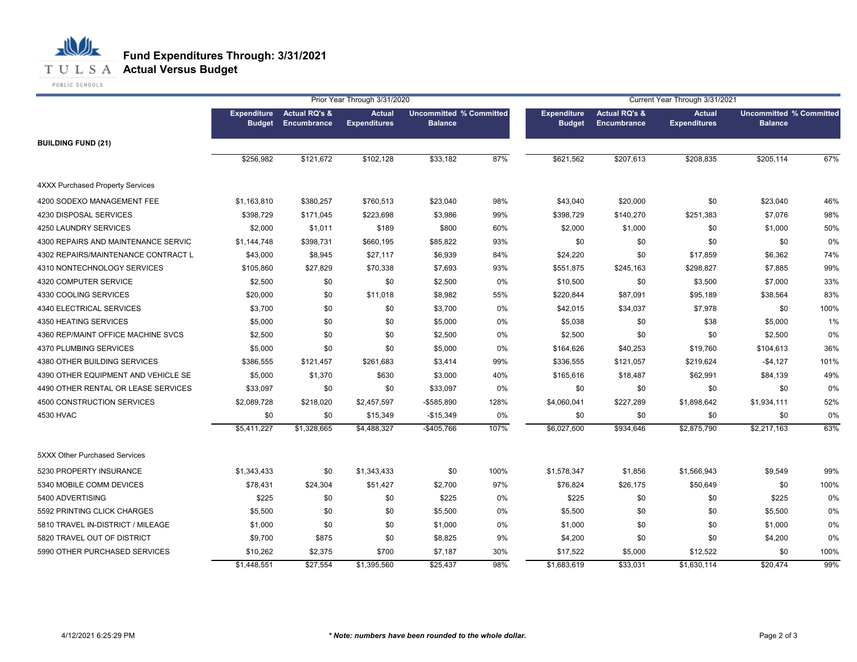

PUBLIC SCHOOLS

|                                     |                                     |                                         | Prior Year Through 3/31/2020         |                                                  |      |                                     |                                         | Current Year Through 3/31/2021       |                                                  |      |
|-------------------------------------|-------------------------------------|-----------------------------------------|--------------------------------------|--------------------------------------------------|------|-------------------------------------|-----------------------------------------|--------------------------------------|--------------------------------------------------|------|
|                                     | <b>Expenditure</b><br><b>Budget</b> | <b>Actual RQ's &amp;</b><br>Encumbrance | <b>Actual</b><br><b>Expenditures</b> | <b>Uncommitted % Committed</b><br><b>Balance</b> |      | <b>Expenditure</b><br><b>Budget</b> | <b>Actual RQ's &amp;</b><br>Encumbrance | <b>Actual</b><br><b>Expenditures</b> | <b>Uncommitted % Committed</b><br><b>Balance</b> |      |
| <b>BUILDING FUND (21)</b>           |                                     |                                         |                                      |                                                  |      |                                     |                                         |                                      |                                                  |      |
|                                     | \$256,982                           | \$121,672                               | \$102,128                            | \$33,182                                         | 87%  | \$621,562                           | \$207,613                               | \$208,835                            | \$205,114                                        | 67%  |
| 4XXX Purchased Property Services    |                                     |                                         |                                      |                                                  |      |                                     |                                         |                                      |                                                  |      |
| 4200 SODEXO MANAGEMENT FEE          | \$1,163,810                         | \$380,257                               | \$760,513                            | \$23,040                                         | 98%  | \$43,040                            | \$20,000                                | \$0                                  | \$23,040                                         | 46%  |
| 4230 DISPOSAL SERVICES              | \$398,729                           | \$171,045                               | \$223,698                            | \$3,986                                          | 99%  | \$398,729                           | \$140,270                               | \$251,383                            | \$7,076                                          | 98%  |
| 4250 LAUNDRY SERVICES               | \$2,000                             | \$1,011                                 | \$189                                | \$800                                            | 60%  | \$2,000                             | \$1,000                                 | \$0                                  | \$1,000                                          | 50%  |
| 4300 REPAIRS AND MAINTENANCE SERVIC | \$1,144,748                         | \$398,731                               | \$660,195                            | \$85,822                                         | 93%  | \$0                                 | \$0                                     | \$0                                  | \$0                                              | 0%   |
| 4302 REPAIRS/MAINTENANCE CONTRACT L | \$43,000                            | \$8,945                                 | \$27,117                             | \$6,939                                          | 84%  | \$24,220                            | \$0                                     | \$17,859                             | \$6,362                                          | 74%  |
| 4310 NONTECHNOLOGY SERVICES         | \$105,860                           | \$27,829                                | \$70,338                             | \$7,693                                          | 93%  | \$551,875                           | \$245,163                               | \$298,827                            | \$7,885                                          | 99%  |
| 4320 COMPUTER SERVICE               | \$2,500                             | \$0                                     | \$0                                  | \$2,500                                          | 0%   | \$10,500                            | \$0                                     | \$3,500                              | \$7,000                                          | 33%  |
| 4330 COOLING SERVICES               | \$20,000                            | \$0                                     | \$11,018                             | \$8,982                                          | 55%  | \$220,844                           | \$87,091                                | \$95,189                             | \$38,564                                         | 83%  |
| 4340 ELECTRICAL SERVICES            | \$3,700                             | \$0                                     | \$0                                  | \$3,700                                          | 0%   | \$42,015                            | \$34,037                                | \$7,978                              | \$0                                              | 100% |
| 4350 HEATING SERVICES               | \$5,000                             | \$0                                     | \$0                                  | \$5,000                                          | 0%   | \$5,038                             | \$0                                     | \$38                                 | \$5,000                                          | 1%   |
| 4360 REP/MAINT OFFICE MACHINE SVCS  | \$2,500                             | \$0                                     | \$0                                  | \$2,500                                          | 0%   | \$2,500                             | \$0                                     | \$0                                  | \$2,500                                          | 0%   |
| 4370 PLUMBING SERVICES              | \$5,000                             | \$0                                     | \$0                                  | \$5,000                                          | 0%   | \$164,626                           | \$40,253                                | \$19,760                             | \$104,613                                        | 36%  |
| 4380 OTHER BUILDING SERVICES        | \$386,555                           | \$121,457                               | \$261,683                            | \$3,414                                          | 99%  | \$336,555                           | \$121,057                               | \$219,624                            | $-$4,127$                                        | 101% |
| 4390 OTHER EQUIPMENT AND VEHICLE SE | \$5,000                             | \$1,370                                 | \$630                                | \$3,000                                          | 40%  | \$165,616                           | \$18,487                                | \$62,991                             | \$84,139                                         | 49%  |
| 4490 OTHER RENTAL OR LEASE SERVICES | \$33,097                            | \$0                                     | \$0                                  | \$33,097                                         | 0%   | \$0                                 | \$0                                     | \$0                                  | \$0                                              | 0%   |
| 4500 CONSTRUCTION SERVICES          | \$2,089,728                         | \$218,020                               | \$2,457,597                          | -\$585,890                                       | 128% | \$4,060,041                         | \$227,289                               | \$1,898,642                          | \$1,934,111                                      | 52%  |
| 4530 HVAC                           | \$0                                 | \$0                                     | \$15,349                             | $-$15,349$                                       | 0%   | \$0                                 | \$0                                     | \$0                                  | \$0                                              | 0%   |
|                                     | \$5,411,227                         | \$1,328,665                             | \$4,488,327                          | -\$405,766                                       | 107% | \$6,027,600                         | \$934,646                               | \$2,875,790                          | \$2,217,163                                      | 63%  |
| 5XXX Other Purchased Services       |                                     |                                         |                                      |                                                  |      |                                     |                                         |                                      |                                                  |      |
| 5230 PROPERTY INSURANCE             | \$1,343,433                         | \$0                                     | \$1,343,433                          | \$0                                              | 100% | \$1,578,347                         | \$1,856                                 | \$1,566,943                          | \$9,549                                          | 99%  |
| 5340 MOBILE COMM DEVICES            | \$78,431                            | \$24,304                                | \$51,427                             | \$2,700                                          | 97%  | \$76,824                            | \$26,175                                | \$50,649                             | \$0                                              | 100% |
| 5400 ADVERTISING                    | \$225                               | \$0                                     | \$0                                  | \$225                                            | 0%   | \$225                               | \$0                                     | \$0                                  | \$225                                            | 0%   |
| 5592 PRINTING CLICK CHARGES         | \$5,500                             | \$0                                     | \$0                                  | \$5,500                                          | 0%   | \$5,500                             | \$0                                     | \$0                                  | \$5,500                                          | 0%   |
| 5810 TRAVEL IN-DISTRICT / MILEAGE   | \$1,000                             | \$0                                     | \$0                                  | \$1,000                                          | 0%   | \$1,000                             | \$0                                     | \$0                                  | \$1,000                                          | 0%   |
| 5820 TRAVEL OUT OF DISTRICT         | \$9,700                             | \$875                                   | \$0                                  | \$8,825                                          | 9%   | \$4,200                             | \$0                                     | \$0                                  | \$4,200                                          | 0%   |
| 5990 OTHER PURCHASED SERVICES       | \$10,262                            | \$2,375                                 | \$700                                | \$7,187                                          | 30%  | \$17,522                            | \$5,000                                 | \$12,522                             | \$0                                              | 100% |
|                                     | \$1,448,551                         | \$27,554                                | \$1,395,560                          | \$25,437                                         | 98%  | \$1,683,619                         | \$33,031                                | \$1,630,114                          | \$20,474                                         | 99%  |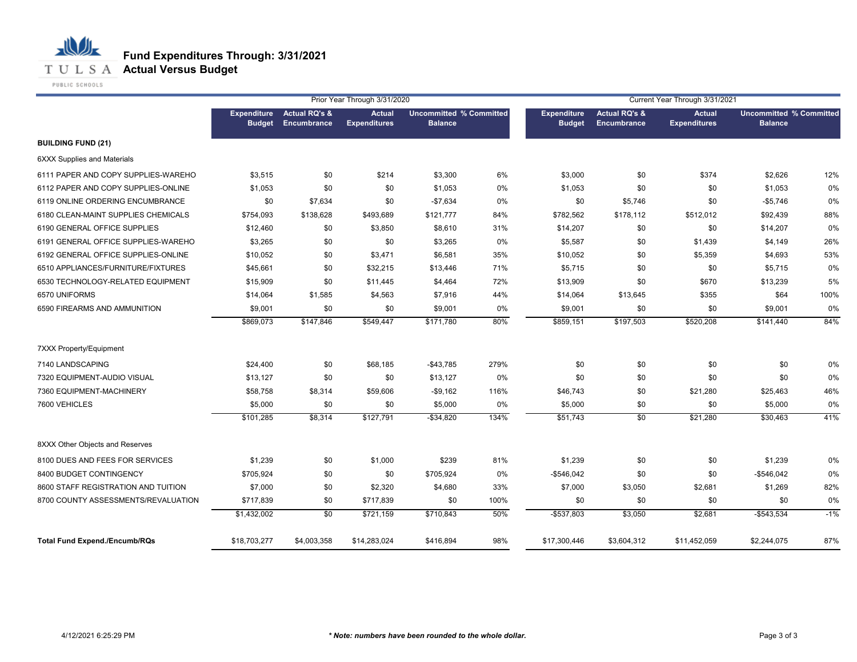

PUBLIC SCHOOLS

|                                      |                                     |                                         | Prior Year Through 3/31/2020         |                                                  |      | Current Year Through 3/31/2021      |                                         |                                      |                                                  |       |  |
|--------------------------------------|-------------------------------------|-----------------------------------------|--------------------------------------|--------------------------------------------------|------|-------------------------------------|-----------------------------------------|--------------------------------------|--------------------------------------------------|-------|--|
|                                      | <b>Expenditure</b><br><b>Budget</b> | <b>Actual RQ's &amp;</b><br>Encumbrance | <b>Actual</b><br><b>Expenditures</b> | <b>Uncommitted % Committed</b><br><b>Balance</b> |      | <b>Expenditure</b><br><b>Budget</b> | <b>Actual RQ's &amp;</b><br>Encumbrance | <b>Actual</b><br><b>Expenditures</b> | <b>Uncommitted % Committed</b><br><b>Balance</b> |       |  |
| <b>BUILDING FUND (21)</b>            |                                     |                                         |                                      |                                                  |      |                                     |                                         |                                      |                                                  |       |  |
| <b>6XXX Supplies and Materials</b>   |                                     |                                         |                                      |                                                  |      |                                     |                                         |                                      |                                                  |       |  |
| 6111 PAPER AND COPY SUPPLIES-WAREHO  | \$3,515                             | \$0                                     | \$214                                | \$3,300                                          | 6%   | \$3,000                             | \$0                                     | \$374                                | \$2,626                                          | 12%   |  |
| 6112 PAPER AND COPY SUPPLIES-ONLINE  | \$1,053                             | \$0                                     | \$0                                  | \$1,053                                          | 0%   | \$1,053                             | \$0                                     | \$0                                  | \$1,053                                          | 0%    |  |
| 6119 ONLINE ORDERING ENCUMBRANCE     | \$0                                 | \$7,634                                 | \$0                                  | $-$7,634$                                        | 0%   | \$0                                 | \$5,746                                 | \$0                                  | $-$5,746$                                        | 0%    |  |
| 6180 CLEAN-MAINT SUPPLIES CHEMICALS  | \$754,093                           | \$138,628                               | \$493,689                            | \$121,777                                        | 84%  | \$782,562                           | \$178,112                               | \$512,012                            | \$92,439                                         | 88%   |  |
| 6190 GENERAL OFFICE SUPPLIES         | \$12,460                            | \$0                                     | \$3,850                              | \$8,610                                          | 31%  | \$14,207                            | \$0                                     | \$0                                  | \$14,207                                         | 0%    |  |
| 6191 GENERAL OFFICE SUPPLIES-WAREHO  | \$3,265                             | \$0                                     | \$0                                  | \$3,265                                          | 0%   | \$5,587                             | \$0                                     | \$1,439                              | \$4,149                                          | 26%   |  |
| 6192 GENERAL OFFICE SUPPLIES-ONLINE  | \$10,052                            | \$0                                     | \$3,471                              | \$6,581                                          | 35%  | \$10,052                            | \$0                                     | \$5,359                              | \$4,693                                          | 53%   |  |
| 6510 APPLIANCES/FURNITURE/FIXTURES   | \$45,661                            | \$0                                     | \$32,215                             | \$13,446                                         | 71%  | \$5,715                             | \$0                                     | \$0                                  | \$5,715                                          | 0%    |  |
| 6530 TECHNOLOGY-RELATED EQUIPMENT    | \$15,909                            | \$0                                     | \$11,445                             | \$4,464                                          | 72%  | \$13,909                            | \$0                                     | \$670                                | \$13,239                                         | 5%    |  |
| 6570 UNIFORMS                        | \$14,064                            | \$1,585                                 | \$4,563                              | \$7,916                                          | 44%  | \$14,064                            | \$13,645                                | \$355                                | \$64                                             | 100%  |  |
| 6590 FIREARMS AND AMMUNITION         | \$9,001                             | \$0                                     | \$0                                  | \$9,001                                          | 0%   | \$9,001                             | \$0                                     | \$0                                  | \$9,001                                          | 0%    |  |
|                                      | \$869,073                           | \$147,846                               | \$549,447                            | \$171,780                                        | 80%  | \$859,151                           | \$197,503                               | \$520,208                            | \$141,440                                        | 84%   |  |
| 7XXX Property/Equipment              |                                     |                                         |                                      |                                                  |      |                                     |                                         |                                      |                                                  |       |  |
| 7140 LANDSCAPING                     | \$24,400                            | \$0                                     | \$68,185                             | $-$43,785$                                       | 279% | \$0                                 | \$0                                     | \$0                                  | \$0                                              | 0%    |  |
| 7320 EQUIPMENT-AUDIO VISUAL          | \$13,127                            | \$0                                     | \$0                                  | \$13,127                                         | 0%   | \$0                                 | \$0                                     | \$0                                  | \$0                                              | 0%    |  |
| 7360 EQUIPMENT-MACHINERY             | \$58,758                            | \$8,314                                 | \$59,606                             | $-$9,162$                                        | 116% | \$46,743                            | \$0                                     | \$21,280                             | \$25,463                                         | 46%   |  |
| 7600 VEHICLES                        | \$5,000                             | \$0                                     | \$0                                  | \$5,000                                          | 0%   | \$5,000                             | \$0                                     | \$0                                  | \$5,000                                          | 0%    |  |
|                                      | \$101,285                           | \$8,314                                 | \$127,791                            | $-$34,820$                                       | 134% | \$51,743                            | $\sqrt{6}$                              | \$21,280                             | \$30,463                                         | 41%   |  |
| 8XXX Other Objects and Reserves      |                                     |                                         |                                      |                                                  |      |                                     |                                         |                                      |                                                  |       |  |
| 8100 DUES AND FEES FOR SERVICES      | \$1,239                             | \$0                                     | \$1,000                              | \$239                                            | 81%  | \$1,239                             | \$0                                     | \$0                                  | \$1,239                                          | 0%    |  |
| 8400 BUDGET CONTINGENCY              | \$705,924                           | \$0                                     | \$0                                  | \$705,924                                        | 0%   | $-$ \$546,042                       | \$0                                     | \$0                                  | $-$546,042$                                      | 0%    |  |
| 8600 STAFF REGISTRATION AND TUITION  | \$7,000                             | \$0                                     | \$2,320                              | \$4,680                                          | 33%  | \$7,000                             | \$3,050                                 | \$2,681                              | \$1,269                                          | 82%   |  |
| 8700 COUNTY ASSESSMENTS/REVALUATION  | \$717,839                           | \$0                                     | \$717,839                            | \$0                                              | 100% | \$0                                 | \$0                                     | \$0                                  | \$0                                              | 0%    |  |
|                                      | \$1,432,002                         | \$0                                     | \$721,159                            | \$710,843                                        | 50%  | $-$537,803$                         | \$3,050                                 | \$2,681                              | $-$543,534$                                      | $-1%$ |  |
| <b>Total Fund Expend./Encumb/RQs</b> | \$18,703,277                        | \$4,003,358                             | \$14,283,024                         | \$416,894                                        | 98%  | \$17,300,446                        | \$3,604,312                             | \$11,452,059                         | \$2,244,075                                      | 87%   |  |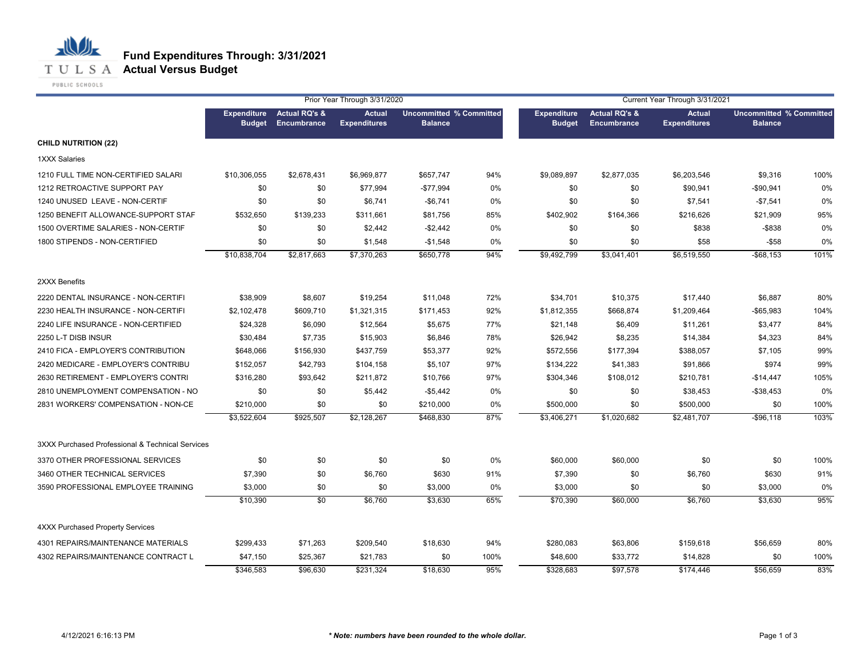

|                                                  |                                     |                                         | Prior Year Through 3/31/2020         |                                                  |      |                                     |                                         | Current Year Through 3/31/2021       |                                                  |      |
|--------------------------------------------------|-------------------------------------|-----------------------------------------|--------------------------------------|--------------------------------------------------|------|-------------------------------------|-----------------------------------------|--------------------------------------|--------------------------------------------------|------|
|                                                  | <b>Expenditure</b><br><b>Budget</b> | <b>Actual RQ's &amp;</b><br>Encumbrance | <b>Actual</b><br><b>Expenditures</b> | <b>Uncommitted % Committed</b><br><b>Balance</b> |      | <b>Expenditure</b><br><b>Budget</b> | <b>Actual RQ's &amp;</b><br>Encumbrance | <b>Actual</b><br><b>Expenditures</b> | <b>Uncommitted % Committed</b><br><b>Balance</b> |      |
| <b>CHILD NUTRITION (22)</b>                      |                                     |                                         |                                      |                                                  |      |                                     |                                         |                                      |                                                  |      |
| 1XXX Salaries                                    |                                     |                                         |                                      |                                                  |      |                                     |                                         |                                      |                                                  |      |
| 1210 FULL TIME NON-CERTIFIED SALARI              | \$10,306,055                        | \$2,678,431                             | \$6,969,877                          | \$657,747                                        | 94%  | \$9,089,897                         | \$2,877,035                             | \$6,203,546                          | \$9,316                                          | 100% |
| 1212 RETROACTIVE SUPPORT PAY                     | \$0                                 | \$0                                     | \$77,994                             | $-$77,994$                                       | 0%   | \$0                                 | \$0                                     | \$90,941                             | $-$90,941$                                       | 0%   |
| 1240 UNUSED LEAVE - NON-CERTIF                   | \$0                                 | \$0                                     | \$6,741                              | $-$6,741$                                        | 0%   | \$0                                 | \$0                                     | \$7,541                              | $-$7,541$                                        | 0%   |
| 1250 BENEFIT ALLOWANCE-SUPPORT STAF              | \$532,650                           | \$139,233                               | \$311,661                            | \$81,756                                         | 85%  | \$402,902                           | \$164,366                               | \$216,626                            | \$21,909                                         | 95%  |
| 1500 OVERTIME SALARIES - NON-CERTIF              | \$0                                 | \$0                                     | \$2,442                              | $-$2,442$                                        | 0%   | \$0                                 | \$0                                     | \$838                                | $-$ \$838                                        | 0%   |
| 1800 STIPENDS - NON-CERTIFIED                    | \$0                                 | \$0                                     | \$1,548                              | $-$1,548$                                        | 0%   | \$0                                 | \$0                                     | \$58                                 | $-$ \$58                                         | 0%   |
|                                                  | \$10,838,704                        | \$2,817,663                             | \$7,370,263                          | \$650,778                                        | 94%  | \$9,492,799                         | \$3,041,401                             | \$6,519,550                          | $-$68,153$                                       | 101% |
| 2XXX Benefits                                    |                                     |                                         |                                      |                                                  |      |                                     |                                         |                                      |                                                  |      |
| 2220 DENTAL INSURANCE - NON-CERTIFI              | \$38,909                            | \$8,607                                 | \$19,254                             | \$11,048                                         | 72%  | \$34,701                            | \$10,375                                | \$17,440                             | \$6,887                                          | 80%  |
| 2230 HEALTH INSURANCE - NON-CERTIFI              | \$2,102,478                         | \$609,710                               | \$1,321,315                          | \$171,453                                        | 92%  | \$1,812,355                         | \$668,874                               | \$1,209,464                          | $-$65,983$                                       | 104% |
| 2240 LIFE INSURANCE - NON-CERTIFIED              | \$24,328                            | \$6,090                                 | \$12,564                             | \$5,675                                          | 77%  | \$21,148                            | \$6,409                                 | \$11,261                             | \$3,477                                          | 84%  |
| 2250 L-T DISB INSUR                              | \$30,484                            | \$7,735                                 | \$15,903                             | \$6,846                                          | 78%  | \$26,942                            | \$8,235                                 | \$14,384                             | \$4,323                                          | 84%  |
| 2410 FICA - EMPLOYER'S CONTRIBUTION              | \$648,066                           | \$156,930                               | \$437,759                            | \$53,377                                         | 92%  | \$572,556                           | \$177,394                               | \$388,057                            | \$7,105                                          | 99%  |
| 2420 MEDICARE - EMPLOYER'S CONTRIBU              | \$152,057                           | \$42,793                                | \$104,158                            | \$5,107                                          | 97%  | \$134,222                           | \$41,383                                | \$91,866                             | \$974                                            | 99%  |
| 2630 RETIREMENT - EMPLOYER'S CONTRI              | \$316,280                           | \$93,642                                | \$211,872                            | \$10,766                                         | 97%  | \$304,346                           | \$108,012                               | \$210,781                            | $-$14,447$                                       | 105% |
| 2810 UNEMPLOYMENT COMPENSATION - NO              | \$0                                 | \$0                                     | \$5,442                              | $-$5,442$                                        | 0%   | \$0                                 | \$0                                     | \$38,453                             | $-$38,453$                                       | 0%   |
| 2831 WORKERS' COMPENSATION - NON-CE              | \$210,000                           | \$0                                     | \$0                                  | \$210,000                                        | 0%   | \$500,000                           | \$0                                     | \$500,000                            | \$0                                              | 100% |
|                                                  | \$3,522,604                         | \$925,507                               | \$2,128,267                          | \$468,830                                        | 87%  | \$3,406,271                         | \$1,020,682                             | \$2,481,707                          | $-$96,118$                                       | 103% |
| 3XXX Purchased Professional & Technical Services |                                     |                                         |                                      |                                                  |      |                                     |                                         |                                      |                                                  |      |
| 3370 OTHER PROFESSIONAL SERVICES                 | \$0                                 | \$0                                     | \$0                                  | \$0                                              | 0%   | \$60,000                            | \$60,000                                | \$0                                  | \$0                                              | 100% |
| 3460 OTHER TECHNICAL SERVICES                    | \$7,390                             | \$0                                     | \$6,760                              | \$630                                            | 91%  | \$7,390                             | \$0                                     | \$6,760                              | \$630                                            | 91%  |
| 3590 PROFESSIONAL EMPLOYEE TRAINING              | \$3,000                             | \$0                                     | \$0                                  | \$3,000                                          | 0%   | \$3,000                             | \$0                                     | \$0                                  | \$3,000                                          | 0%   |
|                                                  | \$10,390                            | \$0                                     | \$6,760                              | \$3,630                                          | 65%  | \$70,390                            | \$60,000                                | \$6,760                              | \$3,630                                          | 95%  |
| 4XXX Purchased Property Services                 |                                     |                                         |                                      |                                                  |      |                                     |                                         |                                      |                                                  |      |
| 4301 REPAIRS/MAINTENANCE MATERIALS               | \$299,433                           | \$71,263                                | \$209,540                            | \$18,630                                         | 94%  | \$280,083                           | \$63,806                                | \$159,618                            | \$56,659                                         | 80%  |
| 4302 REPAIRS/MAINTENANCE CONTRACT L              | \$47,150                            | \$25,367                                | \$21,783                             | \$0                                              | 100% | \$48,600                            | \$33,772                                | \$14,828                             | \$0                                              | 100% |
|                                                  | \$346,583                           | \$96,630                                | \$231,324                            | \$18,630                                         | 95%  | \$328,683                           | \$97,578                                | \$174,446                            | \$56,659                                         | 83%  |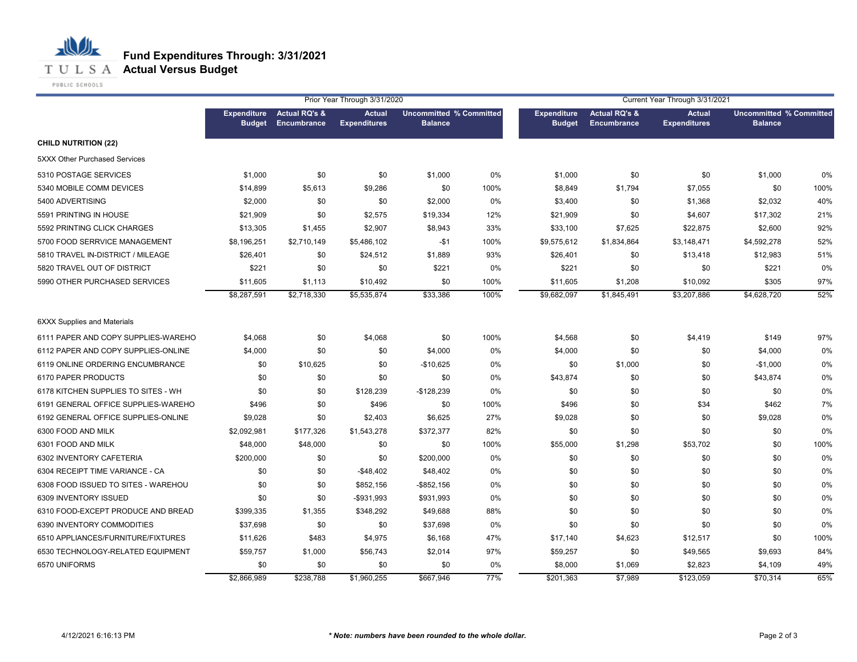

|                                     |                                     |                                                | Prior Year Through 3/31/2020         |                                                  |      | Current Year Through 3/31/2021      |                                         |                                      |                                                  |      |
|-------------------------------------|-------------------------------------|------------------------------------------------|--------------------------------------|--------------------------------------------------|------|-------------------------------------|-----------------------------------------|--------------------------------------|--------------------------------------------------|------|
|                                     | <b>Expenditure</b><br><b>Budget</b> | <b>Actual RQ's &amp;</b><br><b>Encumbrance</b> | <b>Actual</b><br><b>Expenditures</b> | <b>Uncommitted % Committed</b><br><b>Balance</b> |      | <b>Expenditure</b><br><b>Budget</b> | <b>Actual RQ's &amp;</b><br>Encumbrance | <b>Actual</b><br><b>Expenditures</b> | <b>Uncommitted % Committed</b><br><b>Balance</b> |      |
| <b>CHILD NUTRITION (22)</b>         |                                     |                                                |                                      |                                                  |      |                                     |                                         |                                      |                                                  |      |
| 5XXX Other Purchased Services       |                                     |                                                |                                      |                                                  |      |                                     |                                         |                                      |                                                  |      |
| 5310 POSTAGE SERVICES               | \$1,000                             | \$0                                            | \$0                                  | \$1,000                                          | 0%   | \$1,000                             | \$0                                     | \$0                                  | \$1,000                                          | 0%   |
| 5340 MOBILE COMM DEVICES            | \$14,899                            | \$5,613                                        | \$9,286                              | \$0                                              | 100% | \$8,849                             | \$1,794                                 | \$7,055                              | \$0                                              | 100% |
| 5400 ADVERTISING                    | \$2,000                             | \$0                                            | \$0                                  | \$2,000                                          | 0%   | \$3,400                             | \$0                                     | \$1,368                              | \$2,032                                          | 40%  |
| 5591 PRINTING IN HOUSE              | \$21,909                            | \$0                                            | \$2,575                              | \$19,334                                         | 12%  | \$21,909                            | \$0                                     | \$4,607                              | \$17,302                                         | 21%  |
| 5592 PRINTING CLICK CHARGES         | \$13,305                            | \$1,455                                        | \$2,907                              | \$8,943                                          | 33%  | \$33,100                            | \$7,625                                 | \$22,875                             | \$2,600                                          | 92%  |
| 5700 FOOD SERRVICE MANAGEMENT       | \$8,196,251                         | \$2,710,149                                    | \$5,486,102                          | $-$1$                                            | 100% | \$9,575,612                         | \$1,834,864                             | \$3,148,471                          | \$4,592,278                                      | 52%  |
| 5810 TRAVEL IN-DISTRICT / MILEAGE   | \$26,401                            | \$0                                            | \$24,512                             | \$1,889                                          | 93%  | \$26,401                            | \$0                                     | \$13,418                             | \$12,983                                         | 51%  |
| 5820 TRAVEL OUT OF DISTRICT         | \$221                               | \$0                                            | \$0                                  | \$221                                            | 0%   | \$221                               | \$0                                     | \$0                                  | \$221                                            | 0%   |
| 5990 OTHER PURCHASED SERVICES       | \$11,605                            | \$1,113                                        | \$10,492                             | \$0                                              | 100% | \$11,605                            | \$1,208                                 | \$10,092                             | \$305                                            | 97%  |
|                                     | \$8,287,591                         | \$2,718,330                                    | \$5,535,874                          | \$33,386                                         | 100% | \$9,682,097                         | \$1,845,491                             | \$3,207,886                          | \$4,628,720                                      | 52%  |
| <b>6XXX Supplies and Materials</b>  |                                     |                                                |                                      |                                                  |      |                                     |                                         |                                      |                                                  |      |
| 6111 PAPER AND COPY SUPPLIES-WAREHO | \$4,068                             | \$0                                            | \$4,068                              | \$0                                              | 100% | \$4,568                             | \$0                                     | \$4,419                              | \$149                                            | 97%  |
| 6112 PAPER AND COPY SUPPLIES-ONLINE | \$4,000                             | \$0                                            | \$0                                  | \$4,000                                          | 0%   | \$4,000                             | \$0                                     | \$0                                  | \$4,000                                          | 0%   |
| 6119 ONLINE ORDERING ENCUMBRANCE    | \$0                                 | \$10,625                                       | \$0                                  | $-$10,625$                                       | 0%   | \$0                                 | \$1,000                                 | \$0                                  | $-$1,000$                                        | 0%   |
| 6170 PAPER PRODUCTS                 | \$0                                 | \$0                                            | \$0                                  | \$0                                              | 0%   | \$43,874                            | \$0                                     | \$0                                  | \$43,874                                         | 0%   |
| 6178 KITCHEN SUPPLIES TO SITES - WH | \$0                                 | \$0                                            | \$128,239                            | $-$128,239$                                      | 0%   | \$0                                 | \$0                                     | \$0                                  | \$0                                              | 0%   |
| 6191 GENERAL OFFICE SUPPLIES-WAREHO | \$496                               | \$0                                            | \$496                                | \$0                                              | 100% | \$496                               | \$0                                     | \$34                                 | \$462                                            | 7%   |
| 6192 GENERAL OFFICE SUPPLIES-ONLINE | \$9,028                             | \$0                                            | \$2,403                              | \$6,625                                          | 27%  | \$9,028                             | \$0                                     | \$0                                  | \$9,028                                          | 0%   |
| 6300 FOOD AND MILK                  | \$2,092,981                         | \$177,326                                      | \$1,543,278                          | \$372,377                                        | 82%  | \$0                                 | \$0                                     | \$0                                  | \$0                                              | 0%   |
| 6301 FOOD AND MILK                  | \$48,000                            | \$48,000                                       | \$0                                  | \$0                                              | 100% | \$55,000                            | \$1,298                                 | \$53,702                             | \$0                                              | 100% |
| 6302 INVENTORY CAFETERIA            | \$200,000                           | \$0                                            | \$0                                  | \$200,000                                        | 0%   | \$0                                 | \$0                                     | \$0                                  | \$0                                              | 0%   |
| 6304 RECEIPT TIME VARIANCE - CA     | \$0                                 | \$0                                            | $-$ \$48,402                         | \$48,402                                         | 0%   | \$0                                 | \$0                                     | \$0                                  | \$0                                              | 0%   |
| 6308 FOOD ISSUED TO SITES - WAREHOU | \$0                                 | \$0                                            | \$852,156                            | $-$ \$852,156                                    | 0%   | \$0                                 | \$0                                     | \$0                                  | \$0                                              | 0%   |
| 6309 INVENTORY ISSUED               | \$0                                 | \$0                                            | -\$931,993                           | \$931,993                                        | 0%   | \$0                                 | \$0                                     | \$0                                  | \$0                                              | 0%   |
| 6310 FOOD-EXCEPT PRODUCE AND BREAD  | \$399,335                           | \$1,355                                        | \$348,292                            | \$49,688                                         | 88%  | \$0                                 | \$0                                     | \$0                                  | \$0                                              | 0%   |
| 6390 INVENTORY COMMODITIES          | \$37,698                            | \$0                                            | \$0                                  | \$37,698                                         | 0%   | \$0                                 | \$0                                     | \$0                                  | \$0                                              | 0%   |
| 6510 APPLIANCES/FURNITURE/FIXTURES  | \$11,626                            | \$483                                          | \$4,975                              | \$6,168                                          | 47%  | \$17,140                            | \$4,623                                 | \$12,517                             | \$0                                              | 100% |
| 6530 TECHNOLOGY-RELATED EQUIPMENT   | \$59,757                            | \$1,000                                        | \$56,743                             | \$2,014                                          | 97%  | \$59,257                            | \$0                                     | \$49,565                             | \$9,693                                          | 84%  |
| 6570 UNIFORMS                       | \$0                                 | \$0                                            | \$0                                  | \$0                                              | 0%   | \$8,000                             | \$1,069                                 | \$2,823                              | \$4,109                                          | 49%  |
|                                     | \$2,866,989                         | \$238,788                                      | \$1,960,255                          | \$667.946                                        | 77%  | \$201,363                           | \$7,989                                 | \$123,059                            | \$70.314                                         | 65%  |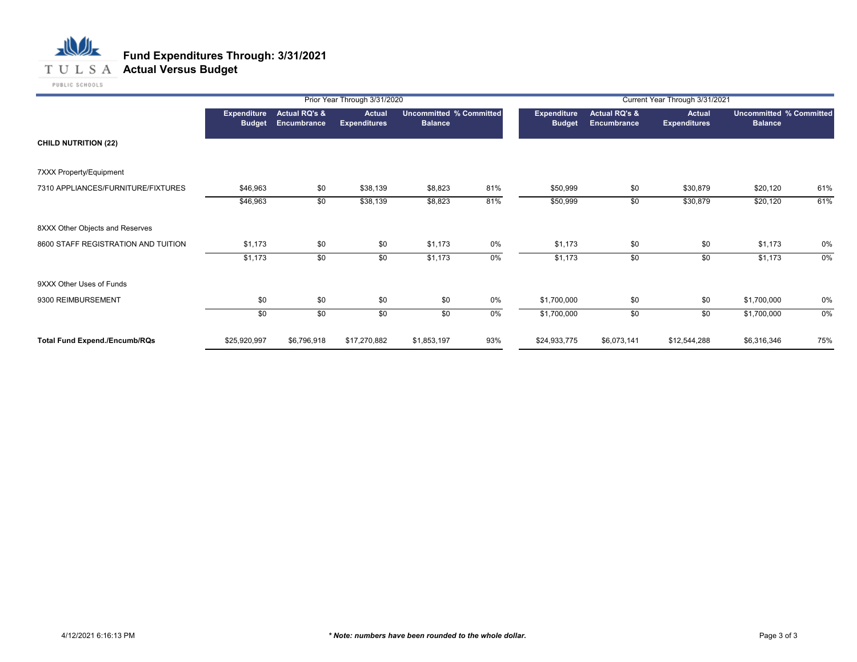

|                                      |                                     |                              | Prior Year Through 3/31/2020         |                                                  |       | Current Year Through 3/31/2021      |                                         |                                      |                                                  |       |  |  |
|--------------------------------------|-------------------------------------|------------------------------|--------------------------------------|--------------------------------------------------|-------|-------------------------------------|-----------------------------------------|--------------------------------------|--------------------------------------------------|-------|--|--|
|                                      | <b>Expenditure</b><br><b>Budget</b> | Actual RQ's &<br>Encumbrance | <b>Actual</b><br><b>Expenditures</b> | <b>Uncommitted % Committed</b><br><b>Balance</b> |       | <b>Expenditure</b><br><b>Budget</b> | <b>Actual RQ's &amp;</b><br>Encumbrance | <b>Actual</b><br><b>Expenditures</b> | <b>Uncommitted % Committed</b><br><b>Balance</b> |       |  |  |
| <b>CHILD NUTRITION (22)</b>          |                                     |                              |                                      |                                                  |       |                                     |                                         |                                      |                                                  |       |  |  |
| 7XXX Property/Equipment              |                                     |                              |                                      |                                                  |       |                                     |                                         |                                      |                                                  |       |  |  |
| 7310 APPLIANCES/FURNITURE/FIXTURES   | \$46,963                            | \$0                          | \$38,139                             | \$8,823                                          | 81%   | \$50,999                            | \$0                                     | \$30,879                             | \$20,120                                         | 61%   |  |  |
|                                      | \$46,963                            | \$0                          | \$38,139                             | \$8,823                                          | 81%   | \$50,999                            | \$0                                     | \$30,879                             | \$20,120                                         | 61%   |  |  |
| 8XXX Other Objects and Reserves      |                                     |                              |                                      |                                                  |       |                                     |                                         |                                      |                                                  |       |  |  |
| 8600 STAFF REGISTRATION AND TUITION  | \$1,173                             | \$0                          | \$0                                  | \$1,173                                          | 0%    | \$1,173                             | \$0                                     | \$0                                  | \$1,173                                          | 0%    |  |  |
|                                      | \$1,173                             | \$0                          | \$0                                  | \$1,173                                          | $0\%$ | \$1,173                             | \$0                                     | \$0                                  | \$1,173                                          | $0\%$ |  |  |
| 9XXX Other Uses of Funds             |                                     |                              |                                      |                                                  |       |                                     |                                         |                                      |                                                  |       |  |  |
| 9300 REIMBURSEMENT                   | \$0                                 | \$0                          | \$0                                  | \$0                                              | 0%    | \$1,700,000                         | \$0                                     | \$0                                  | \$1,700,000                                      | 0%    |  |  |
|                                      | \$0                                 | \$0                          | \$0                                  | \$0                                              | $0\%$ | \$1,700,000                         | \$0                                     | \$0                                  | \$1,700,000                                      | $0\%$ |  |  |
| <b>Total Fund Expend./Encumb/RQs</b> | \$25,920,997                        | \$6,796,918                  | \$17,270,882                         | \$1,853,197                                      | 93%   | \$24,933,775                        | \$6,073,141                             | \$12,544,288                         | \$6,316,346                                      | 75%   |  |  |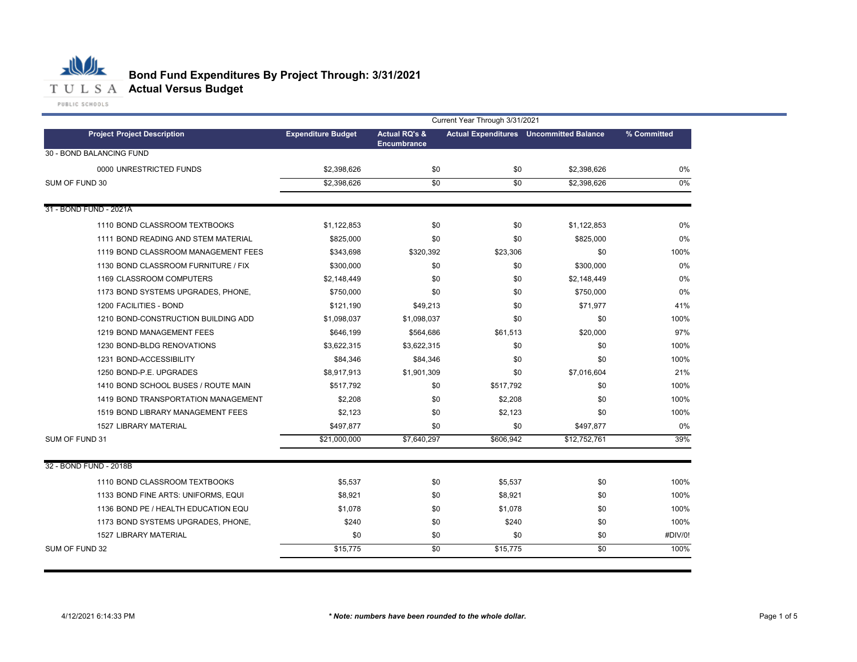

|                                     | Current Year Through 3/31/2021 |                                                |           |                                                |             |
|-------------------------------------|--------------------------------|------------------------------------------------|-----------|------------------------------------------------|-------------|
| <b>Project Project Description</b>  | <b>Expenditure Budget</b>      | <b>Actual RQ's &amp;</b><br><b>Encumbrance</b> |           | <b>Actual Expenditures</b> Uncommitted Balance | % Committed |
| 30 - BOND BALANCING FUND            |                                |                                                |           |                                                |             |
| 0000 UNRESTRICTED FUNDS             | \$2,398,626                    | \$0                                            | \$0       | \$2,398,626                                    | 0%          |
| SUM OF FUND 30                      | \$2,398,626                    | \$0                                            | \$0       | \$2,398,626                                    | 0%          |
|                                     |                                |                                                |           |                                                |             |
| 31 - BOND FUND - 2021A              |                                |                                                |           |                                                |             |
| 1110 BOND CLASSROOM TEXTBOOKS       | \$1,122,853                    | \$0                                            | \$0       | \$1,122,853                                    | 0%          |
| 1111 BOND READING AND STEM MATERIAL | \$825,000                      | \$0                                            | \$0       | \$825,000                                      | 0%          |
| 1119 BOND CLASSROOM MANAGEMENT FEES | \$343,698                      | \$320,392                                      | \$23,306  | \$0                                            | 100%        |
| 1130 BOND CLASSROOM FURNITURE / FIX | \$300,000                      | \$0                                            | \$0       | \$300,000                                      | 0%          |
| 1169 CLASSROOM COMPUTERS            | \$2,148,449                    | \$0                                            | \$0       | \$2,148,449                                    | 0%          |
| 1173 BOND SYSTEMS UPGRADES, PHONE,  | \$750,000                      | \$0                                            | \$0       | \$750,000                                      | 0%          |
| 1200 FACILITIES - BOND              | \$121,190                      | \$49,213                                       | \$0       | \$71,977                                       | 41%         |
| 1210 BOND-CONSTRUCTION BUILDING ADD | \$1,098,037                    | \$1,098,037                                    | \$0       | \$0                                            | 100%        |
| 1219 BOND MANAGEMENT FEES           | \$646,199                      | \$564,686                                      | \$61,513  | \$20,000                                       | 97%         |
| 1230 BOND-BLDG RENOVATIONS          | \$3,622,315                    | \$3,622,315                                    | \$0       | \$0                                            | 100%        |
| 1231 BOND-ACCESSIBILITY             | \$84,346                       | \$84,346                                       | \$0       | \$0                                            | 100%        |
| 1250 BOND-P.E. UPGRADES             | \$8,917,913                    | \$1,901,309                                    | \$0       | \$7,016,604                                    | 21%         |
| 1410 BOND SCHOOL BUSES / ROUTE MAIN | \$517.792                      | \$0                                            | \$517,792 | \$0                                            | 100%        |
| 1419 BOND TRANSPORTATION MANAGEMENT | \$2,208                        | \$0                                            | \$2,208   | \$0                                            | 100%        |
| 1519 BOND LIBRARY MANAGEMENT FEES   | \$2,123                        | \$0                                            | \$2,123   | \$0                                            | 100%        |
| <b>1527 LIBRARY MATERIAL</b>        | \$497,877                      | \$0                                            | \$0       | \$497,877                                      | 0%          |
| SUM OF FUND 31                      | \$21,000,000                   | \$7,640,297                                    | \$606,942 | \$12,752,761                                   | 39%         |
| 32 - BOND FUND - 2018B              |                                |                                                |           |                                                |             |
| 1110 BOND CLASSROOM TEXTBOOKS       | \$5,537                        | \$0                                            | \$5,537   | \$0                                            | 100%        |
| 1133 BOND FINE ARTS: UNIFORMS, EQUI | \$8,921                        | \$0                                            | \$8,921   | \$0                                            | 100%        |
| 1136 BOND PE / HEALTH EDUCATION EQU | \$1,078                        | \$0                                            | \$1,078   | \$0                                            | 100%        |
| 1173 BOND SYSTEMS UPGRADES, PHONE,  | \$240                          | \$0                                            | \$240     | \$0                                            | 100%        |
| <b>1527 LIBRARY MATERIAL</b>        | \$0                            | \$0                                            | \$0       | \$0                                            | #DIV/0!     |
| SUM OF FUND 32                      | \$15,775                       | \$0                                            | \$15,775  | $\overline{30}$                                | 100%        |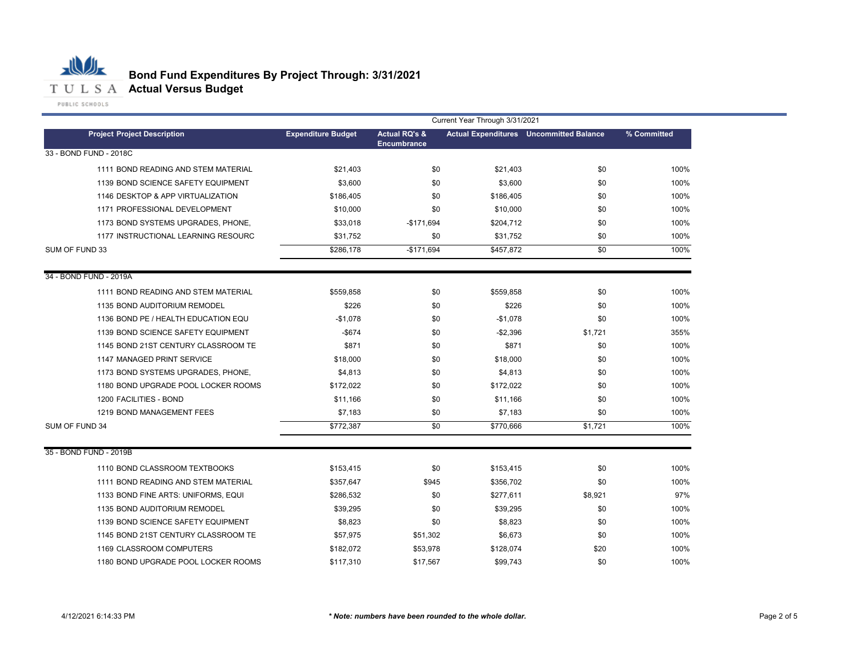

|                                     | Current Year Through 3/31/2021 |                          |           |                                                |             |  |
|-------------------------------------|--------------------------------|--------------------------|-----------|------------------------------------------------|-------------|--|
| <b>Project Project Description</b>  | <b>Expenditure Budget</b>      | <b>Actual RQ's &amp;</b> |           | <b>Actual Expenditures</b> Uncommitted Balance | % Committed |  |
| 33 - BOND FUND - 2018C              |                                | Encumbrance              |           |                                                |             |  |
| 1111 BOND READING AND STEM MATERIAL | \$21,403                       | \$0                      | \$21,403  | \$0                                            | 100%        |  |
| 1139 BOND SCIENCE SAFETY EQUIPMENT  | \$3,600                        | \$0                      | \$3,600   | \$0                                            | 100%        |  |
| 1146 DESKTOP & APP VIRTUALIZATION   | \$186,405                      | \$0                      | \$186,405 | \$0                                            | 100%        |  |
| 1171 PROFESSIONAL DEVELOPMENT       | \$10,000                       | \$0                      | \$10,000  | \$0                                            | 100%        |  |
| 1173 BOND SYSTEMS UPGRADES, PHONE,  | \$33,018                       | $-$171,694$              | \$204,712 | \$0                                            | 100%        |  |
| 1177 INSTRUCTIONAL LEARNING RESOURC | \$31,752                       | \$0                      | \$31,752  | \$0                                            | 100%        |  |
| SUM OF FUND 33                      | \$286,178                      | $-$171,694$              | \$457,872 | \$0                                            | 100%        |  |
|                                     |                                |                          |           |                                                |             |  |
| 34 - BOND FUND - 2019A              |                                |                          |           |                                                |             |  |
| 1111 BOND READING AND STEM MATERIAL | \$559,858                      | \$0                      | \$559,858 | \$0                                            | 100%        |  |
| 1135 BOND AUDITORIUM REMODEL        | \$226                          | \$0                      | \$226     | \$0                                            | 100%        |  |
| 1136 BOND PE / HEALTH EDUCATION EQU | $-$1,078$                      | \$0                      | $-$1,078$ | \$0                                            | 100%        |  |
| 1139 BOND SCIENCE SAFETY EQUIPMENT  | $-$ \$674                      | \$0                      | $-$2,396$ | \$1,721                                        | 355%        |  |
| 1145 BOND 21ST CENTURY CLASSROOM TE | \$871                          | \$0                      | \$871     | \$0                                            | 100%        |  |
| 1147 MANAGED PRINT SERVICE          | \$18,000                       | \$0                      | \$18,000  | \$0                                            | 100%        |  |
| 1173 BOND SYSTEMS UPGRADES, PHONE,  | \$4,813                        | \$0                      | \$4,813   | \$0                                            | 100%        |  |
| 1180 BOND UPGRADE POOL LOCKER ROOMS | \$172,022                      | \$0                      | \$172,022 | \$0                                            | 100%        |  |
| 1200 FACILITIES - BOND              | \$11,166                       | \$0                      | \$11,166  | \$0                                            | 100%        |  |
| 1219 BOND MANAGEMENT FEES           | \$7,183                        | \$0                      | \$7,183   | \$0                                            | 100%        |  |
| SUM OF FUND 34                      | \$772,387                      | \$0                      | \$770,666 | \$1,721                                        | 100%        |  |
| 35 - BOND FUND - 2019B              |                                |                          |           |                                                |             |  |
| 1110 BOND CLASSROOM TEXTBOOKS       | \$153,415                      | \$0                      | \$153,415 | \$0                                            | 100%        |  |
| 1111 BOND READING AND STEM MATERIAL | \$357,647                      | \$945                    | \$356,702 | \$0                                            | 100%        |  |
| 1133 BOND FINE ARTS: UNIFORMS, EQUI | \$286,532                      | \$0                      | \$277,611 | \$8,921                                        | 97%         |  |
| 1135 BOND AUDITORIUM REMODEL        | \$39,295                       | \$0                      | \$39,295  | \$0                                            | 100%        |  |
| 1139 BOND SCIENCE SAFETY EQUIPMENT  | \$8,823                        | \$0                      | \$8,823   | \$0                                            | 100%        |  |
| 1145 BOND 21ST CENTURY CLASSROOM TE | \$57,975                       | \$51,302                 | \$6,673   | \$0                                            | 100%        |  |
| 1169 CLASSROOM COMPUTERS            | \$182,072                      | \$53,978                 | \$128,074 | \$20                                           | 100%        |  |
| 1180 BOND UPGRADE POOL LOCKER ROOMS | \$117,310                      | \$17,567                 | \$99,743  | \$0                                            | 100%        |  |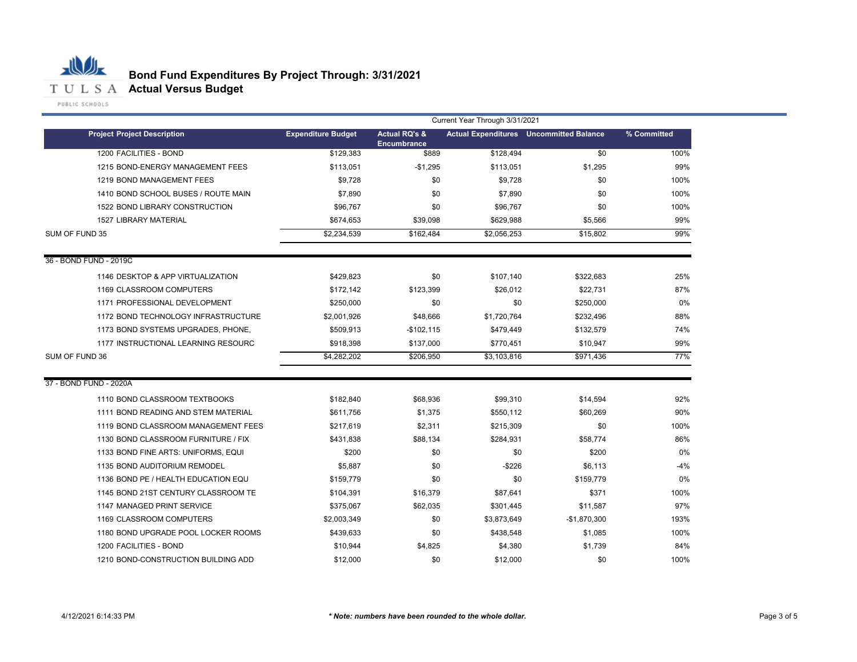

|                                     | Current Year Through 3/31/2021 |                                                |             |                                                |             |
|-------------------------------------|--------------------------------|------------------------------------------------|-------------|------------------------------------------------|-------------|
| <b>Project Project Description</b>  | <b>Expenditure Budget</b>      | <b>Actual RQ's &amp;</b><br><b>Encumbrance</b> |             | <b>Actual Expenditures</b> Uncommitted Balance | % Committed |
| 1200 FACILITIES - BOND              | \$129,383                      | \$889                                          | \$128,494   | \$0                                            | 100%        |
| 1215 BOND-ENERGY MANAGEMENT FEES    | \$113,051                      | $-$1,295$                                      | \$113,051   | \$1,295                                        | 99%         |
| 1219 BOND MANAGEMENT FEES           | \$9,728                        | \$0                                            | \$9,728     | \$0                                            | 100%        |
| 1410 BOND SCHOOL BUSES / ROUTE MAIN | \$7,890                        | \$0                                            | \$7,890     | \$0                                            | 100%        |
| 1522 BOND LIBRARY CONSTRUCTION      | \$96,767                       | \$0                                            | \$96,767    | \$0                                            | 100%        |
| 1527 LIBRARY MATERIAL               | \$674,653                      | \$39,098                                       | \$629,988   | \$5,566                                        | 99%         |
| SUM OF FUND 35                      | \$2,234,539                    | \$162,484                                      | \$2,056,253 | \$15,802                                       | 99%         |
| 36 - BOND FUND - 2019C              |                                |                                                |             |                                                |             |
| 1146 DESKTOP & APP VIRTUALIZATION   | \$429,823                      | \$0                                            | \$107,140   | \$322,683                                      | 25%         |
| 1169 CLASSROOM COMPUTERS            | \$172,142                      | \$123,399                                      | \$26,012    | \$22,731                                       | 87%         |
| 1171 PROFESSIONAL DEVELOPMENT       | \$250,000                      | \$0                                            | \$0         | \$250,000                                      | 0%          |
| 1172 BOND TECHNOLOGY INFRASTRUCTURE | \$2,001,926                    | \$48,666                                       | \$1,720,764 | \$232,496                                      | 88%         |
| 1173 BOND SYSTEMS UPGRADES, PHONE,  | \$509,913                      | $-$102,115$                                    | \$479,449   | \$132,579                                      | 74%         |
| 1177 INSTRUCTIONAL LEARNING RESOURC | \$918,398                      | \$137,000                                      | \$770,451   | \$10,947                                       | 99%         |
| SUM OF FUND 36                      | \$4,282,202                    | \$206,950                                      | \$3,103,816 | \$971,436                                      | 77%         |
| 37 - BOND FUND - 2020A              |                                |                                                |             |                                                |             |
| 1110 BOND CLASSROOM TEXTBOOKS       | \$182,840                      | \$68,936                                       | \$99,310    | \$14,594                                       | 92%         |
| 1111 BOND READING AND STEM MATERIAL | \$611,756                      | \$1,375                                        | \$550,112   | \$60,269                                       | 90%         |
| 1119 BOND CLASSROOM MANAGEMENT FEES | \$217,619                      | \$2,311                                        | \$215,309   | \$0                                            | 100%        |
| 1130 BOND CLASSROOM FURNITURE / FIX | \$431,838                      | \$88,134                                       | \$284,931   | \$58,774                                       | 86%         |
| 1133 BOND FINE ARTS: UNIFORMS, EQUI | \$200                          | \$0                                            | \$0         | \$200                                          | 0%          |
| 1135 BOND AUDITORIUM REMODEL        | \$5,887                        | \$0                                            | $-$226$     | \$6,113                                        | $-4%$       |
| 1136 BOND PE / HEALTH EDUCATION EQU | \$159,779                      | \$0                                            | \$0         | \$159,779                                      | 0%          |
| 1145 BOND 21ST CENTURY CLASSROOM TE | \$104,391                      | \$16,379                                       | \$87,641    | \$371                                          | 100%        |
| 1147 MANAGED PRINT SERVICE          | \$375,067                      | \$62,035                                       | \$301,445   | \$11,587                                       | 97%         |
| 1169 CLASSROOM COMPUTERS            | \$2,003,349                    | \$0                                            | \$3,873,649 | $-$1,870,300$                                  | 193%        |
| 1180 BOND UPGRADE POOL LOCKER ROOMS | \$439,633                      | \$0                                            | \$438,548   | \$1,085                                        | 100%        |
| 1200 FACILITIES - BOND              | \$10,944                       | \$4,825                                        | \$4,380     | \$1,739                                        | 84%         |
| 1210 BOND-CONSTRUCTION BUILDING ADD | \$12,000                       | \$0                                            | \$12,000    | \$0                                            | 100%        |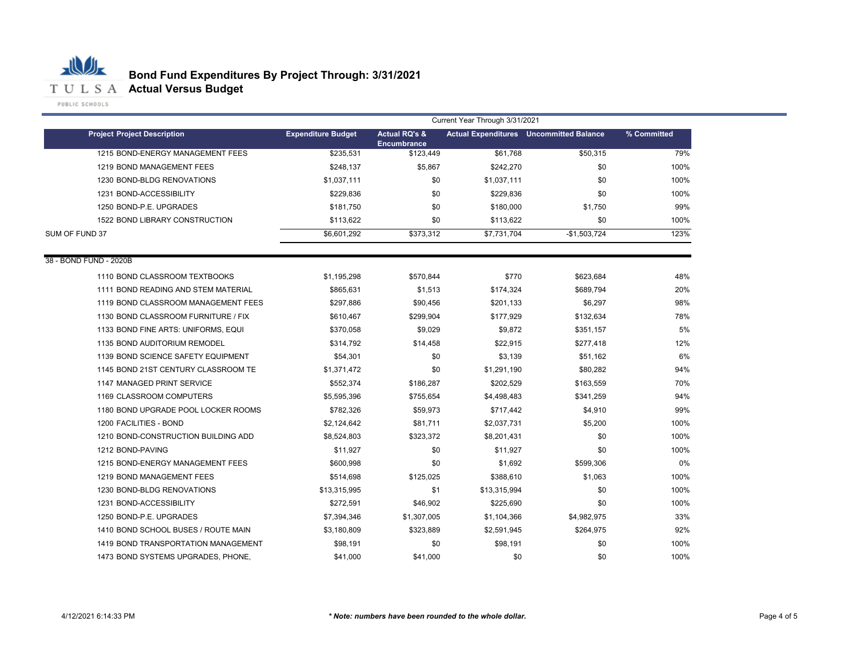

|                                     |                           | Current Year Through 3/31/2021                 |              |                                                |             |  |
|-------------------------------------|---------------------------|------------------------------------------------|--------------|------------------------------------------------|-------------|--|
| <b>Project Project Description</b>  | <b>Expenditure Budget</b> | <b>Actual RQ's &amp;</b><br><b>Encumbrance</b> |              | <b>Actual Expenditures</b> Uncommitted Balance | % Committed |  |
| 1215 BOND-ENERGY MANAGEMENT FEES    | \$235,531                 | \$123,449                                      | \$61,768     | \$50,315                                       | 79%         |  |
| 1219 BOND MANAGEMENT FEES           | \$248,137                 | \$5,867                                        | \$242,270    | \$0                                            | 100%        |  |
| 1230 BOND-BLDG RENOVATIONS          | \$1,037,111               | \$0                                            | \$1,037,111  | \$0                                            | 100%        |  |
| 1231 BOND-ACCESSIBILITY             | \$229.836                 | \$0                                            | \$229,836    | \$0                                            | 100%        |  |
| 1250 BOND-P.E. UPGRADES             | \$181,750                 | \$0                                            | \$180,000    | \$1,750                                        | 99%         |  |
| 1522 BOND LIBRARY CONSTRUCTION      | \$113,622                 | \$0                                            | \$113,622    | \$0                                            | 100%        |  |
| SUM OF FUND 37                      | \$6,601,292               | \$373,312                                      | \$7,731,704  | $-$1,503,724$                                  | 123%        |  |
| 38 - BOND FUND - 2020B              |                           |                                                |              |                                                |             |  |
| 1110 BOND CLASSROOM TEXTBOOKS       | \$1,195,298               | \$570,844                                      | \$770        | \$623,684                                      | 48%         |  |
| 1111 BOND READING AND STEM MATERIAL | \$865,631                 | \$1,513                                        | \$174,324    | \$689,794                                      | 20%         |  |
| 1119 BOND CLASSROOM MANAGEMENT FEES | \$297,886                 | \$90,456                                       | \$201.133    | \$6,297                                        | 98%         |  |
| 1130 BOND CLASSROOM FURNITURE / FIX | \$610,467                 | \$299,904                                      | \$177,929    | \$132,634                                      | 78%         |  |
| 1133 BOND FINE ARTS: UNIFORMS, EQUI | \$370,058                 | \$9,029                                        | \$9,872      | \$351,157                                      | 5%          |  |
| 1135 BOND AUDITORIUM REMODEL        | \$314,792                 | \$14,458                                       | \$22,915     | \$277,418                                      | 12%         |  |
| 1139 BOND SCIENCE SAFETY EQUIPMENT  | \$54,301                  | \$0                                            | \$3,139      | \$51,162                                       | 6%          |  |
| 1145 BOND 21ST CENTURY CLASSROOM TE | \$1,371,472               | \$0                                            | \$1,291,190  | \$80,282                                       | 94%         |  |
| 1147 MANAGED PRINT SERVICE          | \$552.374                 | \$186.287                                      | \$202.529    | \$163,559                                      | 70%         |  |
| 1169 CLASSROOM COMPUTERS            | \$5,595,396               | \$755,654                                      | \$4,498,483  | \$341,259                                      | 94%         |  |
| 1180 BOND UPGRADE POOL LOCKER ROOMS | \$782,326                 | \$59,973                                       | \$717,442    | \$4,910                                        | 99%         |  |
| 1200 FACILITIES - BOND              | \$2,124,642               | \$81,711                                       | \$2,037,731  | \$5,200                                        | 100%        |  |
| 1210 BOND-CONSTRUCTION BUILDING ADD | \$8,524,803               | \$323,372                                      | \$8,201,431  | \$0                                            | 100%        |  |
| 1212 BOND-PAVING                    | \$11,927                  | \$0                                            | \$11,927     | \$0                                            | 100%        |  |
| 1215 BOND-ENERGY MANAGEMENT FEES    | \$600,998                 | \$0                                            | \$1,692      | \$599,306                                      | 0%          |  |
| 1219 BOND MANAGEMENT FEES           | \$514,698                 | \$125,025                                      | \$388,610    | \$1,063                                        | 100%        |  |
| 1230 BOND-BLDG RENOVATIONS          | \$13,315,995              | \$1                                            | \$13,315,994 | \$0                                            | 100%        |  |
| 1231 BOND-ACCESSIBILITY             | \$272,591                 | \$46,902                                       | \$225,690    | \$0                                            | 100%        |  |
| 1250 BOND-P.E. UPGRADES             | \$7,394,346               | \$1,307,005                                    | \$1,104,366  | \$4,982,975                                    | 33%         |  |
| 1410 BOND SCHOOL BUSES / ROUTE MAIN | \$3,180,809               | \$323,889                                      | \$2,591,945  | \$264,975                                      | 92%         |  |
| 1419 BOND TRANSPORTATION MANAGEMENT | \$98.191                  | \$0                                            | \$98,191     | \$0                                            | 100%        |  |
| 1473 BOND SYSTEMS UPGRADES, PHONE.  | \$41,000                  | \$41,000                                       | \$0          | \$0                                            | 100%        |  |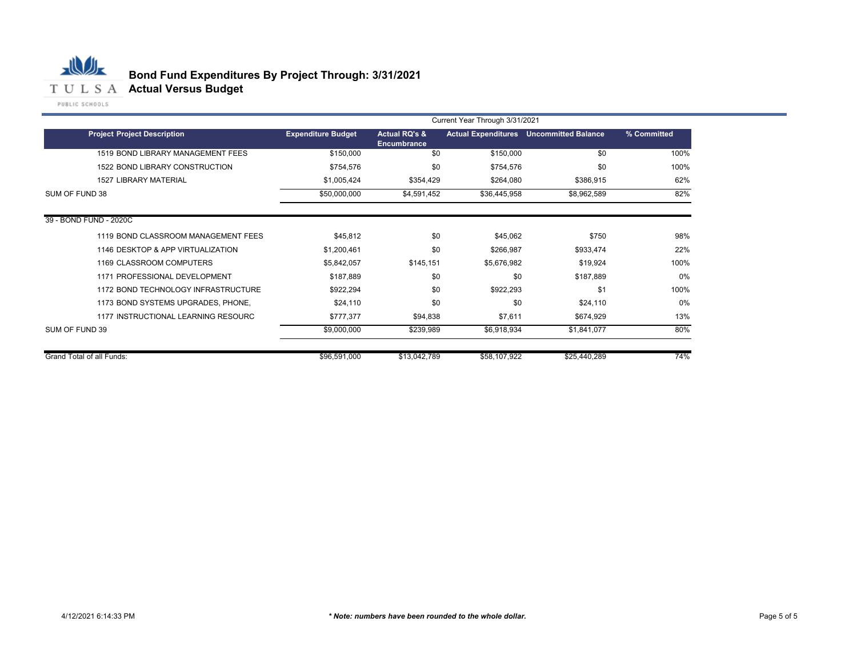

|                                     |                           |                                                | Current Year Through 3/31/2021 |                            |             |
|-------------------------------------|---------------------------|------------------------------------------------|--------------------------------|----------------------------|-------------|
| <b>Project Project Description</b>  | <b>Expenditure Budget</b> | <b>Actual RQ's &amp;</b><br><b>Encumbrance</b> | <b>Actual Expenditures</b>     | <b>Uncommitted Balance</b> | % Committed |
| 1519 BOND LIBRARY MANAGEMENT FEES   | \$150,000                 | \$0                                            | \$150,000                      | \$0                        | 100%        |
| 1522 BOND LIBRARY CONSTRUCTION      | \$754,576                 | \$0                                            | \$754,576                      | \$0                        | 100%        |
| <b>1527 LIBRARY MATERIAL</b>        | \$1,005,424               | \$354,429                                      | \$264,080                      | \$386,915                  | 62%         |
| SUM OF FUND 38                      | \$50,000,000              | \$4,591,452                                    | \$36,445,958                   | \$8,962,589                | 82%         |
| 39 - BOND FUND - 2020C              |                           |                                                |                                |                            |             |
| 1119 BOND CLASSROOM MANAGEMENT FEES | \$45,812                  | \$0                                            | \$45,062                       | \$750                      | 98%         |
| 1146 DESKTOP & APP VIRTUALIZATION   | \$1,200,461               | \$0                                            | \$266,987                      | \$933,474                  | 22%         |
| 1169 CLASSROOM COMPUTERS            | \$5,842,057               | \$145,151                                      | \$5,676,982                    | \$19,924                   | 100%        |
| 1171 PROFESSIONAL DEVELOPMENT       | \$187,889                 | \$0                                            | \$0                            | \$187,889                  | 0%          |
| 1172 BOND TECHNOLOGY INFRASTRUCTURE | \$922,294                 | \$0                                            | \$922,293                      | \$1                        | 100%        |
| 1173 BOND SYSTEMS UPGRADES, PHONE,  | \$24,110                  | \$0                                            | \$0                            | \$24,110                   | 0%          |
| 1177 INSTRUCTIONAL LEARNING RESOURC | \$777,377                 | \$94,838                                       | \$7,611                        | \$674,929                  | 13%         |
| SUM OF FUND 39                      | \$9,000,000               | \$239,989                                      | \$6,918,934                    | \$1,841,077                | 80%         |
| Grand Total of all Funds:           | \$96,591,000              | \$13,042,789                                   | \$58,107,922                   | \$25,440,289               | 74%         |